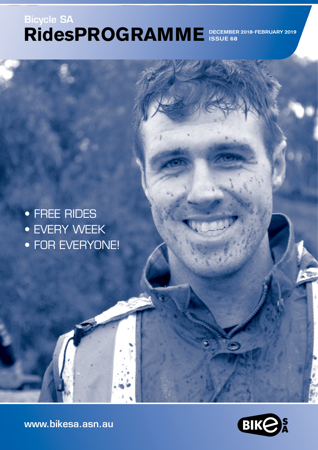# **RidesPROGRAMME**  DECEMBER 2018-FEBRUARY 2019 Bicycle SA ISSUE 68

• FREE RIDES • EVERY WEEK • FOR EVERYONE!



[www.bikesa.asn.au](http://www.bikesa.asn.au)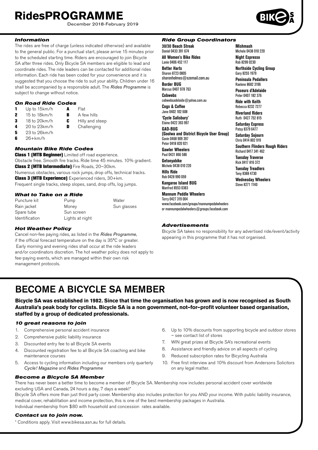December 2018-February 2019

### *Information*

The rides are free of charge (unless indicated otherwise) and available to the general public. For a punctual start, please arrive 15 minutes prior to the scheduled starting time. Riders are encouraged to join Bicycle SA after three rides. Only Bicycle SA members are eligible to lead and coordinate rides. The ride leaders can be contacted for additional rides information. Each ride has been coded for your convenience and it is suggested that you choose the ride to suit your ability. Children under 16 shall be accompanied by a responsible adult. The *Rides Programme* is subject to change without notice.

#### *On Road Ride Codes*

- 1 Up to 15km/h  $\overline{A}$  Flat<br>2 15 to 18km/h  $\overline{B}$  A fe 2 15 to 18km/h **B** A few hills 3 18 to 20 km/h **C** Hilly and steep<br>4 20 to 23 km/h **D** Challenging Challenging
- 
- **5** 23 to 26km/h
- $6$  26+km/h

#### *Mountain Bike Ride Codes*

**Class 1 (MTB Beginner)** Limited off road experience. Obstacle free. Smooth fire tracks. Ride time 45 minutes. 10% gradient. Class 2 (MTB Intermediate) Fire Roads, 20–30km. Numerous obstacles, various rock jumps, drop offs, technical tracks. Class 3 (MTB Experience) Experienced riders, 30+km. Frequent single tracks, steep slopes, sand, drop offs, log jumps.

#### *What to Take on a Ride*

| Puncture kit          | Pump            | Water       |
|-----------------------|-----------------|-------------|
| Rain jacket           | Money           | Sun glasses |
| Spare tube            | Sun screen      |             |
| <b>Identification</b> | Lights at night |             |

#### *Hot Weather Policy*

Cancel non-fee paying rides, as listed in the *Rides Programme*, if the official forecast temperature on the day is 35°C or greater. Early morning and evening rides shall occur at the ride leaders and/or coordinators discretion. The hot weather policy does not apply to fee-paying events, which are managed within their own risk management protocols.

#### *Ride Group Coordinators*

**30/30 Beach Streak** Daniel 0433 391 674 **All Women's Bike Rides** Lanie 0406 452 117 **Better Harts**  Sharon 8723 0805 sharonholmes@ozemail.com.au **Border BUG** Marcus 0407 978 763 **Cobwebs** cobwebsadelaide@yahoo.com.au **Cogs & Coffee** Jane 0402 102 608 **'Cycle Salisbury'** Elaine 0422 393 997 **GAD-BUG (Goolwa and District Bicycle User Group)** Gavin 0468 909 397 Peter 0418 820 921 **Gawler Wheelers** Paul 0431 866 586 **Getonyabike** Michele 0438 010 220 **Hills Ride** Rob 0428 990 059 **Kangaroo Island BUG**

#### Manfred 8553 0383 **Mannum Peddle Wheelers**

Terry 0427 319 004 www.facebook.com/groups/mannumpedalwheelers or mannumpedalwheelers@groups.facebook.com

# *Advertisements*

Bicycle SA takes no responsibility for any advertised ride/event/activity appearing in this programme that it has not organised.

# BECOME A BICYCLE SA MEMBER

**Bicycle SA was established in 1982. Since that time the organisation has grown and is now recognised as South Australia's peak body for cyclists. Bicycle SA is a non government, not–for–profit volunteer based organisation, staffed by a group of dedicated professionals.**

#### *10 great reasons to join*

- 1. Comprehensive personal accident insurance
- 2. Comprehensive public liability insurance
- 3. Discounted entry fee to all Bicycle SA events

*Become a Bicycle SA Member*

- 4. Discounted registration fee to all Bicycle SA coaching and bike maintenance courses
- 5. Access to cycling information including our members only quarterly *Cycle! Magazine* and *Rides Programme*
- 6. Up to 10% discounts from supporting bicycle and outdoor stores – see contact list of stores
- 7. WIN great prizes at Bicycle SA's recreational events
- 8. Assistance and friendly advice on all aspects of cycling
- 9. Reduced subscription rates for Bicycling Australia
- 10. Free first interview and 10% discount from Andersons Solicitors on any legal matter.

There has never been a better time to become a member of Bicycle SA. Membership now includes personal accident cover worldwide excluding USA and Canada, 24 hours a day, 7 days a week!\*

Bicycle SA offers more than just third party cover. Membership also includes protection for you AND your income. With public liability insurance, medical cover, rehabilitation and income protection, this is one of the best membership packages in Australia. Individual membership from \$80 with household and concession rates available.

#### *Contact us to join now.*

**II**

\* Conditions apply. Visit www.bikesa.asn.au for full details.

**Mishmash** Michele 0438 010 220 **Night Espresso** Rob 8299 0230 **Northside Cycling Group** Gary 8255 1979 **Peninsula Pedallers** Raelene 8682 3196 **Poseurs d'Adelaide** Peter 0407 182 376 **Ride with Keith** Rebecca 8232 7277 **Riverland Riders** Ruth 0427 752 815 **Saturday Express** Patsy 8379 6477 **Saturday Sojourn** Chris 0414 802 919 **Southern Flinders Rough Riders** Richard 0417 341 462 **Tuesday Traverse** Rick 0417 816 372 **Tuesday Treadlers** Tony 8388 4730 **Wednesday Wheelers**

Steve 8271 1140

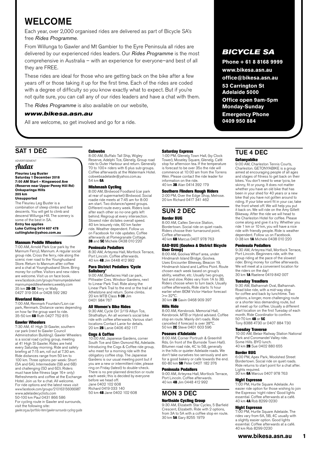# WELCOME

Each year, over 2,000 organised rides are delivered as part of Bicycle SA's free *Rides Programme*.

From Willunga to Gawler and Mt Gambier to the Eyre Peninsula all rides are delivered by our experienced rides leaders. Our *Rides Programme* is the most comprehensive in Australia – with an experience for everyone–and best of all they are FREE.

These rides are ideal for those who are getting back on the bike after a few years off or those taking it up for the first time. Each of the rides are coded with a degree of difficulty so you know exactly what to expect. But if you're not quite sure, you can call any of our rides leaders and have a chat with them.

The *Rides Programme* is also available on our website,

#### *www.bikesa.asn.au*

All are welcome, so get involved and go for a ride.

# SAT 1 DEC

## ADVERTISEMENT

# Audax

**Fleurieu Leg Buster Saturday 1 December 2018 7:00 AM Start – Kingswood Ave (Reserve near Upper Penny Hill Rd) Onkaparinga Hills 205 km**

#### **Unsupported**

The Fleurieu Leg Buster is a combination of steep climbs and fast descents. You will get to climb and descend Willunga Hill. The scenery is some of the best in SA.

#### **Entry fee applies**

**Luke Cutting 0414 607 478 cuttingluke@yahoo.com.au**

#### Mannum Peddle Wheelers

7:00 AM, Arnold Park (car park by the Mannum Ferry), Mannum. A regular social group ride. Cross the ferry, ride along the scenic river road to the Younghusband Store. Return to Mannum after coffee and a chat at Younghusband Store. Bring money for coffee. Visitors and new riders are welcome. Visit us on face book. www.facebook.com/groups/mannumpedalwheel mannumpeddlewheelers.weebly.com 35 km **2B-3B** Terry or Wally<br>0427 319 004 or 0428 592 282

#### Riverland Riders

7:00 AM, Renmark Fountain/Lion car park, Renmark. Distance varies depending on how far the group want to ride. 35-50 km 6B Ruth 0427 752 815

#### Gawler Wheelers

7:30 AM, 41 High St Gawler, southern car park (next to Gawler Council Administration Building). Gawler Wheelers is a social road cycling group, meeting at 41 High St Gawler. Rides are held every Saturday morning. Ride and safety briefing at 7:15 am, roll out at 7.30 am. Ride distances range from 50 km to 100 km. Three options per week: Short (5A and 6A), Intermediate (5B and 6B) and challenging (5D and 6D). Riders must have bike fitness (age 16+ only) Refreshments and coffee at the Exchange Hotel. Join us for a chat. All welcome. For ride options and the latest news visit www.facebook.com/groups/210163156066987 [www.adelaidecyclists.com](http://www.adelaidecyclists.com) 50-100 km Paul 0431 866 586 For cycling route in Gawler and surrounds, visit the following site:

gawler.org.au/portfolio-item/gawler-surrounds-cycling-guide

#### **Cobwebs**

8:00 AM, Buffalo Tall Ship, Wigley Reserve, Adelphi Tce, Glenelg. Group road ride to Outer Harbour and return. Generally 70 to 100+ riders with 6 plus sub-groups. Coffee afterwards at the Watermark Hotel. cobwebsadelaide@yahoo.com.au 54 km **6A** 

### Mishmash Cycling

8:00 AM, Birdwood Foodland (car park at rear of supermarket) Birdwood. Social roadie ride meets at 7:45 am for 8:00 am start. Two distance/speed groups. Different route every week. Riders look after each other so no-one gets left behind. Regroup at every intersection. Slowest rider dictates overall speed. 40 km leisurely ride, 60 km faster ride. Weather dependent. Follow us on Facebook for ride updates. Coffee afterwards at Pomegranate Cottage. 3B and 5C Michele 0438 010 220

#### Peninsula Pedallers

8:30 AM, Arteyrea Hall, Mortlock Terrace, Port Lincoln. Coffee afterwards. 40 km 4B Jim 0448 412 992

#### Para District Pedallers 'Cycle Salisbury'

9:00 AM, Beefacres Hall car park, Pittwater Cres. Windsor Gardens, next to Linear Park Trail. Ride along the Linear Park Trail to the end or the trail at Athelstone and return. Some climbs. 20 km MTB Class 1-3B Jim 0401 984 767

#### All Women's Bike Rides

9:30 AM, Cycle On' 2/19 Albyn Tce, Strathalbyn. An all women's social bike ride with coffee afterwards. Various start locations Contact Lanie for details. 20 km 2B Lanie 0406 452 117

#### Cogs & Coffee

10:00 AM, Japanese Gardens, corner South Tce and Glen Osmond Rd, Adelaide. Introducing the Cogs & Coffee ride group, who meet for a morning ride with the obligatory coffee stop. The Japanese Gardens is our usual meeting point but if you are a new or intermittent rider, please ring on Friday (latest) to double-check. There is no pre-planned direction or route each week; this is decided by everyone before we head off. Jane 0402 102 608 Richard 0419 033 140 50 km 4B Jane 0402 102 608

#### Saturday Express

1:00 PM, Glenelg Town Hall, (by Clock Tower), Moseley Square, Glenelg. Café stop for afternoon tea. If the temperature is forecast to be over 35o the ride will commence at 10:00 am from the Torrens Weir. Please contact the ride leader for information on the ride. 40 km **3B** Alan 0414 392 179

#### Southern Flinders Rough Riders

2:00 PM, Over the Edge Shop, Melrose. 20 km Richard 0417 341 462

# SUN 2 DEC

#### Border BUG

8:00 AM, Caltex Service Station, Bordertown. Social ride on quiet roads. Riders choose their turnaround point. Coffee afterwards. 40 km 6B Marcus 0407 978 763

#### GAD-BUG (Goolwa & District Bicycle User Group)

8:00 AM, Goolwa Wharf area, under Hindmarsh Island Bridge, Goolwa. Uses Encounter Bikeway, Beacon 19, Hindmarsh Island and Laffins Point. Route chosen each week based on group's ability, weather, etc. Usually two groups, fast and slow. Rides vary from 1A to 3B. Riders choose when to turn back. Usually coffee afterwards, Ride starts ½ hour earlier when BOM Victor Harbor forecast >= 32°C.

30 km 2B Gavin 0468 909 397

#### Hills Ride

8:00 AM, Kersbrook. Memorial Hall, Kersbrook. MTB or Hybrid advised. Coffee stop en route. Mainly dirt roads. Ride cancelled if forecast is over 38°C. 50 km 2C Steve 0401 603 596

#### Poseurs d'Adelaide

8:00 AM, Corner Portrush & Greenhill Rds. (in front of the Burnside Town Hall). Bitumen road ride, 4C to 5B, generally in the hills or quieter Adelaide roads. We don't take ourselves too seriously and aim for a good bakery or cafe towards the end. 60-80 km 5B Peter 0407 182 376

#### Peninsula Pedallers

9:00 AM, Arteyrea Hall, Mortlock Terrace, Port Lincoln. Coffee afterwards. 40 km 4B Jim 0448 412 992

# MON 3 DEC

**Northside Cycling Group**<br>9:30 AM, Elizabeth Star Cycles, 5 Barfield Crescent, Elizabeth. Ride with 2 options, from 3A to 5A with a coffee stop en route. 30 km 5A Gary 8255 1979

# *BICYCLE SA*

**Phone + 61 8 8168 9999** 

**www.bikesa.asn.au office@bikesa.asn.au**

**53 Carrington St Adelaide 5000**

**Office open 9am-5pm Monday-Sunday Emergency Phone** 

**0409 950 884**

# TUE 4 DEC

**Getonyabike**<br>9:00 AM, Charleston Tennis Courts, Charleston. GETONYABIKE is a group aimed at encouraging people of all ages and stages of fitness to get back on their bikes. You don't need to wear lycra, be skinny, fit or young. It does not matter whether you have an old bike that has been in your shed for 40 years or a new bike that you have not gotten around to riding. If your bike wont fit in your car, take the front wheel off. We will help you put it back on. We will ride on the Amy Gillett Bikeway. After the ride we will head to the Charleston Hotel for coffee. Please come along and give it a try. Whether you ride 1 km or 10 km, you will have a nice ride with friendly people. Ride is weather dependent. Follow us on Facebook. 0-38 km 1A Michele 0438 010 220

#### Peninsula Pedallers

9:30 AM, Arteyrea Hall, Mortlock Terrace, Port Lincoln. Beginners ride, with the group riding at the pace of the slowest rider. Bring money for coffee afterwards. We will meet at a convenient location for the riders on the day! 30 km 1A Raelene 0419 842 007

#### Tuesday Treadlers

9:30 AM, Balhannah Oval, Balhannah. Road bike ride, with a mid-way stop for coffee and back by lunchtime. Two options, a longer, more challenging route or a shorter less demanding route, but all meet up for coffee. Usually a different start location on the first Tuesday of each month. Ride Coordinator to confirm. 50-70 km 4B or 5C Tony 8388 4730 or 0407 884 730

#### Tuesday Traverse

10:00 AM, Belair Railway Station National Park and Coromandel Valley ride. Some Hills. BYO lunch. 40 km 2B Sue 0402 880 655

#### Border BUG

6:00 PM, Apex Park, Woolshed Street Bordertown. Social ride on quiet roads. Ride returns to start point for a chat after. Lights required. 30 km 6A Marcus 0407 978 763

#### Night Espresso

7:00 PM, Hurtle Square Adelaide. An easier ride option for those wishing to join the Espresso 'night riders' Good lights essential. Coffee afterwards at a café. 40 km 4A Rob 8299 0230

#### Night Espresso

7:00 PM, Hurtle Square Adelaide. The rides vary from 6A, 5B, 4C usually with a slightly easier option. Good lights essential. Coffee afterwards at a café. 40 km Rob 8299 0230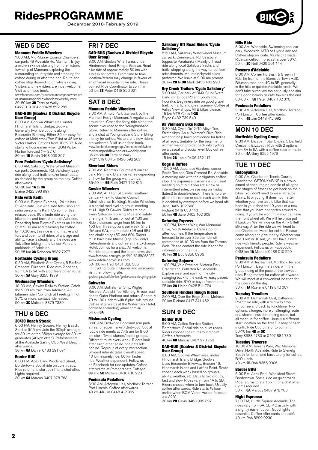December 2018-February 2019

# WED 5 DEC

#### Mannum Peddle Wheelers

7:00 AM, Mid-Murray Council Chambers, car park, 49 Adelaide Rd, Mannum. Enjoy a mid-week ride starting from the historic township of Mannum, exploring the surrounding countryside and stopping for coffee during or after the ride. Route and coffee stop depending on who is riding. Visitors and new riders are most welcome. Visit us on face book.

www.facebook.com/groups/mannumpedalwheelers or mannumpeddlewheelers.weebly.com 30-80 km **3B** Terry or Wally<br>0427 319 004 or 0428 592 282

#### GAD-BUG (Goolwa & District Bicycle User Group)

8:00 AM, Goolwa Wharf area, under Hindmarsh Island Bridge, Goolwa. Generally two ride options along Encounter Bikeway. Either 30 km easy for coffee at Middleton/Port Elliot or 45 km to Victor Harbor. Options from 1B to 3B. Ride starts ½ hour earlier when BOM Victor Harbor forecast >= 32°C 30 km 1B Gavin 0468 909 397

#### Para Pedallers 'Cycle Salisbury'

8:30 AM, Salisbury Waterwheel Museum car park, Commercial Rd, Salisbury. Easy ride along local trails and/or local roads, as decided by the group on the day. Coffee afterwards.<br>20-30 km **1A** to **3A** 

Elaine 0422 393 997

#### Ride with Keith

9:00 AM, Bicycle Express, 124 Halifax St, Adelaide. Join Adelaide television and radio personality Keith Conlon for this relaxed pace, 90 minute ride along the bike paths and back streets of Adelaide. Departing from Bicycle Express on Halifax St at 9:00 am and returning for coffee by 10:30 am, this ride is informative and fun, and open to all riders of any age and ability. Pace is steady and the rides are flat, often taking in the Linear Park and<br>parklands of Adelaide.<br>20-25 km **3A** Rebecca 8232 7277

**Northside Cycling Group**<br>9:30 AM, Elizabeth Star Cycles, 5 Barfield<br>Crescent, Elizabeth. Ride with 2 options, from 3A to 5A with a coffee stop en route.<br>30 km **5A** Gary 8255 1979

#### Wednesday Wheelers

10:00 AM, Gawler Railway Station. Catch the 9:08 am train from Adelaide. All bitumen ride. Pub lunch at Freeling. If hot, 35°C or more, contact ride leader. 50 km 3C Malcolm 8379 7339

# THU 6 DEC

#### 30/30 Beach Streak

6:00 PM, Henley Square, Henley Beach. Start at 6:15 pm. Join the 30kph average for 30 km or the 35kph average for 30 km graduates (40kph often). Refreshments at the Adelaide Sailing Club, West Beach,

afterwards.<br>30 km **6A** Daniel 0433 391 674

#### Border BUG

6:00 PM, Apex Park, Woolshed Street, Bordertown. Social ride on quiet roads. Ride returns to start point for a chat after. Lights required.

#### 30 km 6A Marcus 0407 978 763

## FRI 7 DEC

#### GAD-BUG (Goolwa & District Bicycle User Group)

8:00 AM, Goolwa Wharf area, under Hindmarsh Island Bridge, Goolwa. Road bike ride of approximately 50 km with a break for coffee. From time to time location/terrain may change in favour of an off-road mountain bike ride. Please contact Ride Coordinator to confirm. 50 km 3B Peter 0418 820 921

## SAT 8 DEC Mannum Peddle Wheelers

7:00 AM, Arnold Park (car park by the Mannum Ferry), Mannum. A regular social group ride. Cross the ferry, ride along the scenic river road to the Younghusband Store. Return to Mannum after coffee and a chat at Younghusband Store. Bring money for coffee. Visitors and new riders are welcome. Visit us on face book. www.facebook.com/groups/mannumpedalwheel mannumpeddlewheelers.weebly.com 35 km **2B-3B** Terry or Wally<br>0427 319 004 or 0428 592 282

#### Riverland Riders

7:00 AM, Renmark Fountain/Lion car park, Renmark. Distance varies depending on how far the group want to ride. 35-50 km 6B Ruth 0427 752 815

#### Gawler Wheelers

7:30 AM, 41 High St Gawler, southern car park (next to Gawler Council Administration Building). Gawler Wheelers is a social road cycling group, meeting at 41 High St Gawler. Rides are held every Saturday morning. Ride and safety briefing at 7:15 am, roll out at 7.30 am. Ride distances range from 50 km to 100 km. Three options per week: Short (5A and 6A), Intermediate (5B and 6B) and challenging (5D and 6D). Riders must have bike fitness (age 16+ only) Refreshments and coffee at the Exchange Hotel. Join us for a chat. All welcome. For ride options and the latest news visit www.facebook.com/groups/210163156066987 [www.adelaidecyclists.com](http://www.adelaidecyclists.com) 50-100 km Paul 0431 866 586

For cycling route in Gawler and surrounds, visit the following site: gawler.org.au/portfolio-item/gawler-surrounds-cycling-guide

**Cobwebs** 

# 8:00 AM, Buffalo Tall Ship, Wigley Reserve, Adelphi Tce, Glenelg. Group road ride to Outer Harbour and return. Generally 70 to 100+ riders with 6 plus sub-groups. Coffee afterwards at the Watermark Hotel. cobwebsadelaide@yahoo.com.au 54 km 6A

# Mishmash Cycling

8:00 AM, Birdwood Foodland (car park at rear of supermarket) Birdwood. Social roadie ride meets at 7:45 am for 8:00 am start. Two distance/speed groups. Different route every week. Riders look after each other so no-one gets left behind. Regroup at every intersection. Slowest rider dictates overall speed. 40 km leisurely ride, 60 km faster ride. Weather dependent. Follow us on Facebook for ride updates. Coffee afterwards at Pomegranate Cottage. **3B** and 5C Michele 0438 010 220

#### Peninsula Pedallers

8:30 AM, Arteyrea Hall, Mortlock Terrace, Port Lincoln. Coffee afterwards. 40 km 4B Jim 0448 412 992

#### Salisbury Off Road Riders 'Cycle Salisbury'

8:50 AM, Salisbury Waterwheel Museum car park, Commercial Rd, Salisbury. (opposite Parabanks). Mainly off road ride along local Salisbury tracks and trails, stopping along the way for coffee/ refreshments. Mountain/hybrid bikes preferred. We leave at 9:00 am prompt. 30 km **2B** to 3B Mark 0456 403 293

#### Dry Creek Trailers 'Cycle Salisbury'

9:00 AM, Car park of BMX Club/Skate Park, cnr Bridge Rd and South Tce, Pooraka. Beginners ride on good gravel trail, no traffic and great scenery. Coffee at Valley View shops. MTB bikes please. 15 km MTB Class **1-3B** Bryce 0432 732 540

#### All Women's Bike Rides

9:30 AM, Cycle On' 2/19 Albyn Tce, Strathalbyn. An all Women's Bike Ride aimed to help build confidence for ladies of all ages. Suitable for the beginner or women wanting to get back into cycling on a casual and social level. Buy coffee afterwards. 15 km **2B** Lanie 0406 452 117

#### Cogs & Coffee

10:00 AM, Japanese Gardens, corner South Tce and Glen Osmond Rd, Adelaide. A morning ride with the obligatory coffee stop. The Japanese Gardens is our usual meeting point but if you are a new or intermittent rider, please ring on Friday (latest) to double-check. There is no preplanned direction or route each week; this is decided by everyone before we head off. Jane 0402 102 608 Richard 0419 033 140

50 km 4B Jane 0402 102 608

#### Saturday Express

1:00 PM, Torrens Weir, War Memorial Drive, North Adelaide. Café stop for afternoon tea. If the temperature is forecast to be over 35o the ride will commence at 10:00 am from the Torrens Weir. Please contact the ride leader for information on the ride. 40 km 3B Bob 8356 0906

#### Saturday Sojourn

1:00 PM, Velo Precinct, Victoria Park Grandstand, Fullarton Rd, Adelaide. Explore west and north of the city. swinging back to the east. An easy paced, sociable ride. BYO or buy refreshments. 25 km 2A Helen 0428 511 724

#### Southern Flinders Rough Riders

2:00 PM, Over the Edge Shop, Melrose. 20 km Richard 0417 341 462

### SUN 9 DEC Border BUG

8:00 AM, Caltex Service Station, Bordertown. Social ride on quiet roads. Riders choose their turnaround point. Coffee afterwards. 40 km 6B Marcus 0407 978 763

#### GAD-BUG (Goolwa & District Bicycle User Group)

8:00 AM, Goolwa Wharf area, under Hindmarsh Island Bridge, Goolwa. Uses Encounter Bikeway, Beacon 19, Hindmarsh Island and Laffins Point. Route chosen each week based on group's ability, weather, etc. Usually two groups, fast and slow. Rides vary from 1A to 3B. Riders choose when to turn back. Usually coffee afterwards, Ride starts ½ hour earlier when BOM Victor Harbor forecast  $\sim$   $-30^{\circ}$ C

30 km **2B** Gavin 0468 909 397

#### Hills Ride

8:00 AM, Woodside. Swimming pool car park, Woodside. MTB or Hybrid advised. Coffee stop en route. Mainly dirt roads. Ride cancelled if forecast is over 38°C. 50 km 2C Neil 0429 201 144

#### Poseurs d'Adelaide

8:00 AM, Corner Portrush & Greenhill Rds. (in front of the Burnside Town Hall). Bitumen road ride, 4C to 5B, generally in the hills or quieter Adelaide roads. We don't take ourselves too seriously and aim for a good bakery or cafe towards the end. 60-80 km 5B Peter 0407 182 376

#### Peninsula Pedallers

9:00 AM, Arteyrea Hall, Mortlock Terrace, Port Lincoln. Coffee afterwards. 40 km 4B Jim 0448 412 992

# MON 10 DEC

### Northside Cycling Group

9:30 AM, Elizabeth Star Cycles, 5 Barfield Crescent, Elizabeth. Ride with 2 options, from 3A to 5A with a coffee stop en route. 30 km 5A Gary 8255 1979

# TUE 11 DEC

#### Getonyabike

9:00 AM, Charleston Tennis Courts, Charleston. GETONYABIKE is a group aimed at encouraging people of all ages and stages of fitness to get back on their bikes. You don't need to wear lycra, be skinny, fit or young. It does not matter whether you have an old bike that has been in your shed for 40 years or a new bike that you have not gotten around to riding. If your bike wont fit in your car, take the front wheel off. We will help you put it back on. We will ride on the Amy Gillett Bikeway. After the ride we will head to the Charleston Hotel for coffee. Please come along and give it a try. Whether you ride 1 km or 10 km, you will have a nice ride with friendly people. Ride is weather dependent. Follow us on Facebook. 0-38 km 1A Michele 0438 010 220

#### Peninsula Pedallers

9:30 AM, Arteyrea Hall, Mortlock Terrace, Port Lincoln. Beginners ride, with the group riding at the pace of the slowest rider. Bring money for coffee afterwards. We will meet at a convenient location for the riders on the day! 30 km 1A Raelene 0419 842 007

#### Tuesday Treadlers

9:30 AM, Balhannah Oval, Balhannah. Road bike ride, with a mid-way stop for coffee and back by lunchtime. Two options, a longer, more challenging route or a shorter less demanding route, but all meet up for coffee. Usually a different start location on the first Tuesday of each month. Ride Coordinator to confirm. 50-70 km **4B** or 5C

Tony 8388 4730 or 0407 884 730

#### Tuesday Traverse

10:00 AM, Torrens Weir, War Memorial Drive, North Adelaide. Ride to Glenelg South for lunch and back to city for coffee. BYO lunch. 40 km 2B Bob 8356 0906

Border BUG 6:00 PM, Apex Park, Woolshed Street Bordertown. Social ride on quiet roads. Ride returns to start point for a chat after. Lights required.

30 km 6A Marcus 0407 978 763

#### Night Espresso

7:00 PM, Hurtle Square Adelaide. The rides vary from 6A, 5B, 4C usually with a slightly easier option. Good lights essential. Coffee afterwards at a café. 40 km Rob 8299 0230

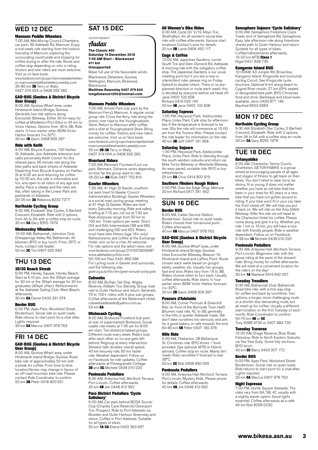# WED 12 DEC

#### Mannum Peddle Wheelers

7:00 AM, Mid-Murray Council Chambers, car park, 49 Adelaide Rd, Mannum. Enjoy a mid-week ride starting from the historic township of Mannum, exploring the surrounding countryside and stopping for coffee during or after the ride. Route and coffee stop depending on who is riding. Visitors and new riders are most welcome. Visit us on face book.

www.facebook.com/groups/mannumpedalwheelers or mannumpeddlewheelers.weebly.com 30-80 km 3B Terry or Wally 0427 319 004 or 0428 592 282

#### GAD-BUG (Goolwa & District Bicycle User Group)

8:00 AM, Goolwa Wharf area, under Hindmarsh Island Bridge, Goolwa. Generally two ride options along Encounter Bikeway. Either 30 km easy for coffee at Middleton/Port Elliot or 45 km to Victor Harbor. Options from 1B to 3B. Ride starts ½ hour earlier when BOM Victor Harbor forecast >= 32°C.<br>30 km **1B** Gavin 0468 909 397

#### Ride with Keith

9:00 AM, Bicycle Express, 124 Halifax St, Adelaide. Join Adelaide television and radio personality Keith Conlon for this relaxed pace, 90 minute ride along the bike paths and back streets of Adelaide. Departing from Bicycle Express on Halifax St at 9:00 am and returning for coffee by 10:30 am, this ride is informative and fun, and open to all riders of any age and ability. Pace is steady and the rides are flat, often taking in the Linear Park and parklands of Adelaide.<br>20-25 km **3A** Rebecca 8232 7277

#### Northside Cycling Group

9:30 AM, Elizabeth Star Cycles, 5 Barfield Crescent, Elizabeth. Ride with 2 options, from 3A to 5A with a coffee stop en route. 30 km 5A Gary 8255 1979

#### Wednesday Wheelers

10:00 AM, Balhannah, Johnston Oval, Onkaparinga Valley Rd, Balhannah. All bitumen, BYO or buy lunch. If hot, 35°C or more, contact ride leader. 50 km 3C Tim 0407 605 583

### THU 13 DEC 30/30 Beach Streak

6:00 PM, Henley Square, Henley Beach. Start at 6:15 pm. Join the 30kph average for 30 km or the 35kph average for 30 km graduates (40kph often). Refreshments at the Adelaide Sailing Club, West Beach, afterwards.

30 km 6A Daniel 0433 391 674

#### Border BUG

6:00 PM, Apex Park, Woolshed Street, Bordertown. Social ride on quiet roads. Ride returns to start point for a chat after. Lights required.<br>30 km **6A** Marcus 0407 978 763

# FRI 14 DEC

#### GAD-BUG (Goolwa & District Bicycle User Group)

8:00 AM, Goolwa Wharf area, under Hindmarsh Island Bridge, Goolwa. Road bike ride of approximately 50 km with a break for coffee. From time to time location/terrain may change in favour of an off-road mountain bike ride. Please contact Ride Coordinator to confirm. 50 km 3B Peter 0418 820 921

# SAT 15 DEC

ADVERTISEMENT

# Audax

**The Classic 400 Saturday 15 December 2018 7:00 AM Start – Blackwood 411 km**

#### **Unsupported**

Make full use of the favourable winds. Blackwood, Delamere, Goolwa, Wellington, Mannum, Birdwood, Blackwood. **Matthew Rawnsley 0427 379 640**

**longdistance1200@hotmail.com**

#### Mannum Peddle Wheelers

7:00 AM, Arnold Park (car park by the Mannum Ferry), Mannum. A regular social group ride. Cross the ferry, ride along the scenic river road to the Younghusband Store. Return to Mannum after coffee and a chat at Younghusband Store. Bring money for coffee. Visitors and new riders are welcome. Visit us on face book. www.facebook.com/groups/mannumpedalwheel mannumpeddlewheelers.weebly.com 35 km 2B-3B Terry or Wally 0427 319 004 or 0428 592 282

#### Riverland Riders

7:00 AM, Renmark Fountain/Lion car park, Renmark. Distance varies depending on how far the group want to ride. 35-50 km 6B Ruth 0427 752 815

#### Gawler Wheelers

7:30 AM, 41 High St Gawler, southern car park (next to Gawler Council Administration Building). Gawler Wheelers is a social road cycling group, meeting at 41 High St Gawler. Rides are held every Saturday morning. Ride and safety briefing at 7:15 am, roll out at 7.30 am. Ride distances range from 50 km to 100 km. Three options per week: Short (5A and 6A), Intermediate (5B and 6B) and challenging (5D and 6D). Riders must have bike fitness (age 16+ only) Refreshments and coffee at the Exchange Hotel. Join us for a chat. All welcome. For ride options and the latest news visit www.facebook.com/groups/210163156066987 [www.adelaidecyclists.com](http://www.adelaidecyclists.com) 50-100 km Paul 0431 866 586 For cycling route in Gawler and surrounds, visit the following site:

gawler.org.au/portfolio-item/gawler-surrounds-cycling-guide Cobwebs

8:00 AM, Buffalo Tall Ship, Wigley Reserve, Adelphi Tce, Glenelg. Group road ride to Outer Harbour and return. Generally 70 to 100+ riders with 6 plus sub-groups. Coffee afterwards at the Watermark Hotel. cobwebsadelaide@yahoo.com.au 54 km 6A

#### Mishmash Cycling

8:00 AM, Birdwood Foodland (car park at rear of supermarket) Birdwood. Social roadie ride meets at 7:45 am for 8:00 am start. Two distance/speed groups. Different route every week. Riders look after each other so no-one gets left behind. Regroup at every intersection. Slowest rider dictates overall speed. 40 km leisurely ride, 60 km faster ride. Weather dependent. Follow us on Facebook for ride updates. Coffee afterwards at Pomegranate Cottage. 3B and 5C Michele 0438 010 220

#### Peninsula Pedallers

8:30 AM, Arteyrea Hall, Mortlock Terrace, Port Lincoln. Coffee afterwards. 40 km 4B Jim 0448 412 992

#### Para District Pedallers 'Cycle Salisbury'

9:00 AM, Car park behind BOSA Soccer Club (Charles Cane Reserve) Devenport Tce, Prospect. Ride to Port Adelaide via Bowden and Outer Harbour Greenway and return. Coffee in Port Adelaide. Suitable for all types of bikes.<br>30 km **1A-3A** Elaine 0422 393 997

#### All Women's Bike Rides

9:30 AM, Cycle On' 2/19 Albyn Tce, Strathalbyn. An all women's social bike ride with coffee afterwards. Various start locations Contact Lanie for details. 20 km 2B Lanie 0406 452 117

#### Cogs & Coffee

10:00 AM, Japanese Gardens, corner South Tce and Glen Osmond Rd, Adelaide. A morning ride with the obligatory coffee stop. The Japanese Gardens is our usual meeting point but if you are a new or intermittent rider, please ring on Friday (latest) to double-check. There is no pre-planned direction or route each week; this is decided by everyone before we head off. Jane 0402 102 608 Richard 0419 033 140 50 km 4B Jane 0402 102 608

Saturday Express

1:00 PM, Heywood Park, Addiscombe Place, Unley Park. Café stop for afternoon tea. If the temperature is forecast to be over 35o the ride will commence at 10:00 am from the Torrens Weir. Please contact the ride leader for information on the ride. 40 km 3B Jeff 0407 191 958

#### Saturday Sojourn

1:00 PM, Heywood Park, Addiscombe Place, Unley Park. Ride to Glenelg through the south western suburbs and return via Mike Turtur Bikeway or Westside Bikeway. An easy paced, sociable ride. BYO or buy refreshments. 25 km 2A Chris 0414 802 919

### Southern Flinders Rough Riders

2:00 PM, Over the Edge Shop, Melrose. 20 km Richard 0417 341 462

# SUN 16 DEC

#### Border BUG

8:00 AM, Caltex Service Station, Bordertown. Social ride on quiet roads. Riders choose their turnaround point. Coffee afterwards. 40 km 6B Marcus 0407 978 763

#### GAD-BUG (Goolwa & District Bicycle User Group)

8:00 AM, Goolwa Wharf area, under Hindmarsh Island Bridge, Goolwa. Uses Encounter Bikeway, Beacon 19, Hindmarsh Island and Laffins Point. Route chosen each week based on group's ability, weather, etc. Usually two groups, fast and slow. Rides vary from 1A to 3B. Riders choose when to turn back. Usually coffee afterwards, Ride starts 1/2 hour earlier when BOM Victor Harbor forecast  $= 32^{\circ}C$ 

30 km 2B Gavin 0468 909 397

#### Poseurs d'Adelaide

8:00 AM, Corner Portrush & Greenhill Rds. (in front of the Burnside Town Hall). Bitumen road ride, 4C to 5B, generally in the hills or quieter Adelaide roads. We don't take ourselves too seriously and aim for a good bakery or cafe towards the end. 60-80 km 5B Peter 0407 182 376

#### Hills Ride

9:00 AM, Thebarton. 28 Ballantyne St. Christmas ride. BYO drinks – food provided. Spa optional. MTB or Hybrid advised. Coffee stop en route. Mainly dirt roads. Ride cancelled if forecast is over 38°C.

50 km 2C Rob 0428 990 059

#### Peninsula Pedallers

9:00 AM, Arteyrea Hall, Mortlock Terrace, Port Lincoln. Mystery Ride. Please phone for details. Coffee afterwards. 40 km 4B Jim 0448 412 992

#### Semaphore Sojourn 'Cycle Salisbury'

9:00 AM, Semaphore Foreshore Clock Tower, end of Semaphore Rd, Semaphore. Easy, late afternoon ride along foreshore shared path to Outer Harbour and return. Suitable for all types of bikes. Coffee/refreshments afterwards. 15-20 km MTB Class 1 Nigel 0431 838 735

#### Kangaroo Island BUG

10:00AM, 43 Juniper Rd, Brownlow, Kangaroo Island. Kingscote and surrounds cycling Circuit. See Kingscote cycle brochure. Optional 6 km along beach to Cygnet River mouth. 27 km 65% sealed or designated bike path. BYO Christmas food and drink. Barbeque and stove/oven available. Jenni 0429 877 146 Manfred 8553 0383

# MON 17 DEC Northside Cycling Group

9:30 AM, Elizabeth Star Cycles, 5 Barfield Crescent, Elizabeth. Ride with 2 options, from 3A to 5A with a coffee stop en route. 30 km 5A Gary 8255 1979

# TUE 18 DEC

#### Getonyabike

9:00 AM, Charleston Tennis Courts, Charleston. GETONYABIKE is a group aimed at encouraging people of all ages and stages of fitness to get back on their bikes. You don't need to wear lycra, be skinny, fit or young. It does not matter whether you have an old bike that has been in your shed for 40 years or a new bike that you have not gotten around to riding. If your bike wont fit in your car, take the front wheel off. We will help you put it back on. We will ride on the Amy Gillett Bikeway. After the ride we will head to the Charleston Hotel for coffee. Please come along and give it a try. Whether you ride 1 km or 10 km, you will have a nice ride with friendly people. Ride is weather dependent. Follow us on Facebook. 0-38 km 1A Michele 0438 010 220

#### Peninsula Pedallers

9:30 AM, Arteyrea Hall, Mortlock Terrace, Port Lincoln. Beginners ride, with the group riding at the pace of the slowest rider. Bring money for coffee afterwards. We will meet at a convenient location for the riders on the day! 30 km **1A** Raelene 0419 842 007

#### Tuesday Treadlers

9:30 AM, Balhannah Oval, Balhannah. Road bike ride, with a mid-way stop for coffee and back by lunchtime. Two options, a longer, more challenging route or a shorter less demanding route, but all meet up for coffee. Usually a different start location on the first Tuesday of each month. Ride Coordinator to confirm. 50-70 km 4B or 5C

Tony 8388 4730 or 0407 884 730

#### Tuesday Traverse

10:00 AM, Drage Reserve, Briar Road. Felixstow. Ride to North Eastern Suburbs via Tea Tree Gully. Some hilly sections. BYO lunch.<br>40 km 2C Barry 0403 307 172

### Border BUG

6:00 PM, Apex Park, Woolshed Street Bordertown. Social ride on quiet roads. Ride returns to start point for a chat after. Lights required. 30 km 6A Marcus 0407 978 763

#### Night Espresso

7:00 PM, Hurtle Square Adelaide. The rides vary from 6A, 5B, 4C usually with a slightly easier option. Good lights essential. Coffee afterwards at a café. 40 km Rob 8299 0230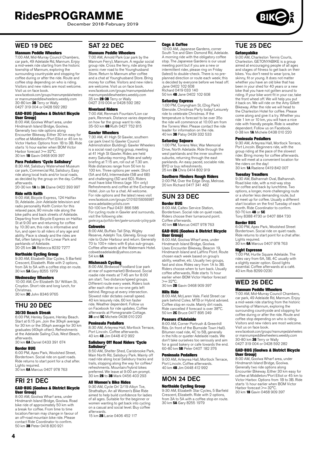December 2018-February 2019

# WED 19 DEC

#### Mannum Peddle Wheelers

7:00 AM, Mid-Murray Council Chambers, car park, 49 Adelaide Rd, Mannum. Enjoy a mid-week ride starting from the historic township of Mannum, exploring the surrounding countryside and stopping for coffee during or after the ride. Route and coffee stop depending on who is riding. Visitors and new riders are most welcome. Visit us on face book.

www.facebook.com/groups/mannumpedalwheelers or mannumpeddlewheelers.weebly.com 30-80 km **3B** Terry or Wally<br>0427 319 004 or 0428 592 282

# GAD-BUG (Goolwa & District Bicycle

**User Group)**<br>8:00 AM, Goolwa Wharf area, under Hindmarsh Island Bridge, Goolwa. Generally two ride options along Encounter Bikeway. Either 30 km easy for coffee at Middleton/Port Elliot or 45 km to Victor Harbor. Options from 1B to 3B. Ride starts ½ hour earlier when BOM Victor Harbor forecast >= 32°C 30 km 1B Gavin 0468 909 397

#### Para Pedallers 'Cycle Salisbury'

8:30 AM, Salisbury Waterwheel Museum car park, Commercial Rd, Salisbury. Easy ride along local trails and/or local roads, as decided by the group on the day. Coffee afterwards.<br>20–30 km **1A** to **3A** Elaine 0422 393 997

#### Ride with Keith

9:00 AM, Bicycle Express, 124 Halifax St, Adelaide. Join Adelaide television and radio personality Keith Conlon for this relaxed pace, 90 minute ride along the bike paths and back streets of Adelaide. Departing from Bicycle Express on Halifax St at 9:00 am and returning for coffee by 10:30 am, this ride is informative and fun, and open to all riders of any age and ability. Pace is steady and the rides are flat, often taking in the Linear Park and parklands of Adelaide.<br>20-25 km **3A** Rebecca 8232 7277

#### Northside Cycling Group

9:30 AM, Elizabeth Star Cycles, 5 Barfield Crescent, Elizabeth. Ride with 2 options, from 3A to 5A with a coffee stop en route. 30 km 5A Gary 8255 1979

#### Wednesday Wheelers

10:00 AM, Cnr Elizabeth St/ William St, Croydon. Short ride and long lunch, for Christmas.

30 km 3C John 8346 9765

# THU 20 DEC

# 30/30 Beach Streak

6:00 PM, Henley Square, Henley Beach. Start at 6:15 pm. Join the 30kph average for 30 km or the 35kph average for 30 km graduates (40kph often). Refreshments at the Adelaide Sailing Club, West Beach, afterwards.

30 km 6A Daniel 0433 391 674

#### Border BUG

6:00 PM, Apex Park, Woolshed Street, Bordertown. Social ride on quiet roads. Ride returns to start point for a chat after. Lights required. 30 km 6A Marcus 0407 978 763

# FRI 21 DEC

#### GAD-BUG (Goolwa & District Bicycle User Group) 8:00 AM, Goolwa Wharf area, under

Hindmarsh Island Bridge, Goolwa. Road bike ride of approximately 50 km with a break for coffee. From time to time location/terrain may change in favour of an off-road mountain bike ride. Please contact Ride Coordinator to confirm. 50 km 3B Peter 0418 820 921

# SAT 22 DEC

#### Mannum Peddle Wheelers

7:00 AM, Arnold Park (car park by the Mannum Ferry), Mannum. A regular social group ride. Cross the ferry, ride along the scenic river road to the Younghusband Store. Return to Mannum after coffee and a chat at Younghusband Store. Bring money for coffee. Visitors and new riders are welcome. Visit us on face book. www.facebook.com/groups/mannumpedalwheel mannumpeddlewheelers.weebly.com 35 km 2B-3B Terry or Wally 0427 319 004 or 0428 592 282

#### Riverland Riders

7:00 AM, Renmark Fountain/Lion car park, Renmark. Distance varies depending on how far the group want to ride. 35-50 km 6B Ruth 0427 752 815

#### Gawler Wheelers

7:30 AM, 41 High St Gawler, southern car park (next to Gawler Council Administration Building). Gawler Wheelers is a social road cycling group, meeting at 41 High St Gawler. Rides are held every Saturday morning. Ride and safety briefing at 7:15 am, roll out at 7.30 am. Ride distances range from 50 km to 100 km. Three options per week: Short (5A and 6A), Intermediate (5B and 6B) and challenging (5D and 6D). Riders must have bike fitness (age 16+ only) Refreshments and coffee at the Exchange Hotel. Join us for a chat. All welcome. For ride options and the latest news visit www.facebook.com/groups/210163156066987 [www.adelaidecyclists.com](http://www.adelaidecyclists.com) 50-100 km Paul 0431 866 586

For cycling route in Gawler and surrounds, visit the following site: gawler.org.au/portfolio-item/gawler-surrounds-cycling-guide

**Cobwebs** 

8:00 AM, Buffalo Tall Ship, Wigley Reserve, Adelphi Tce, Glenelg. Group road ride to Outer Harbour and return. Generally 70 to 100+ riders with 6 plus sub-groups. Coffee afterwards at the Watermark Hotel. cobwebsadelaide@yahoo.com.au 54 km 6A

**Mishmash Cycling**<br>8:00 AM, Birdwood Foodland (car park at rear of supermarket) Birdwood. Social roadie ride meets at 7:45 am for 8:00 am start. Two distance/speed groups. Different route every week. Riders look after each other so no-one gets left behind. Regroup at every intersection. Slowest rider dictates overall speed. 40 km leisurely ride, 60 km faster ride. Weather dependent. Follow us on Facebook for ride updates. Coffee afterwards at Pomegranate Cottage. 3B and 5C Michele 0438 010 220

#### Peninsula Pedallers

8:30 AM, Arteyrea Hall, Mortlock Terrace, Port Lincoln. Coffee afterwards. 40 km 4B Jim 0448 412 992

#### Salisbury Off Road Riders 'Cycle Salisbury'

8:50 AM, Shelter Shed, Carisbrooke Park, Main North Rd, Salisbury Park. Mainly off road ride along local Salisbury tracks and trails, stopping along the way for coffee/ refreshments. Mountain/hybrid bikes preferred. We leave at 9:00 am prompt.<br>30 km **2B** to 3B Mark 0456 403 293

#### All Women's Bike Rides

9:30 AM, Cycle On' 2/19 Albyn Tce, Strathalbyn. An all Women's Bike Ride aimed to help build confidence for ladies of all ages. Suitable for the beginner or women wanting to get back into cycling on a casual and social level. Buy coffee afterwards.

15 km 2B Lanie 0406 452 117

#### Cogs & Coffee

10:00 AM, Japanese Gardens, corner South Tce and Glen Osmond Rd, Adelaide. A morning ride with the obligatory coffee stop. The Japanese Gardens is our usual meeting point but if you are a new or intermittent rider, please ring on Friday (latest) to double-check. There is no preplanned direction or route each week; this is decided by everyone before we head off. Jane 0402 102 608 Richard 0419 033 140 50 km 4B Jane 0402 102 608

## Saturday Express

1:00 PM, Conyngham St, (Dog Park) Glenside. Christmas Party today! Leisurely ride to celebrate Christmas. If the temperature is forecast to be over 35o the ride will commence at 10:00 am from the Torrens Weir. Please contact the ride leader for information on the ride. 40 km 3B Patsy 0439 332 533

#### Saturday Sojourn

1:00 PM, Torrens Weir, War Memorial Drive, North Adelaide. Ride through the west parklands and the inner southern suburbs, returning through the east parklands. An easy paced, sociable ride. BYO or buy refreshments. 25 km 2A Chris 0414 802 919

### Southern Flinders Rough Riders

2:00 PM, Over the Edge Shop, Melrose. 20 km Richard 0417 341 462

### SUN 23 DEC Border BUG

8:00 AM, Caltex Service Station,

Bordertown. Social ride on quiet roads. Riders choose their turnaround point. Coffee afterwards. 40 km 6B Marcus 0407 978 763

#### GAD-BUG (Goolwa & District Bicycle User Group)

8:00 AM, Goolwa Wharf area, under Hindmarsh Island Bridge, Goolwa. Uses Encounter Bikeway, Beacon 19, Hindmarsh Island and Laffins Point. Route chosen each week based on group's ability, weather, etc. Usually two groups, fast and slow. Rides vary from 1A to 3B. Riders choose when to turn back. Usually coffee afterwards, Ride starts ½ hour earlier when BOM Victor Harbor forecast  $>=$  30°C.

30 km 2B Gavin 0468 909 397

#### Hills Ride

8:00 AM, McLaren Vale. Field Street car park behind Coles. MTB or Hybrid advised. Coffee stop en route. Mainly dirt roads. Ride cancelled if forecast is over 38°C. 50 km 2C Bruce 0417 895 249

#### Poseurs d'Adelaide

8:00 AM, Corner Portrush & Greenhill Rds. (in front of the Burnside Town Hall). Bitumen road ride, 4C to 5B, generally in the hills or quieter Adelaide roads. We don't take ourselves too seriously and aim for a good bakery or cafe towards the end.<br>60-80 km **5B** Peter 0407 182 376

#### Peninsula Pedallers

9:00 AM, Arteyrea Hall, Mortlock Terrace, Port Lincoln. Coffee afterwards. 40 km 4B Jim 0448 412 992

# MON 24 DEC

### Northside Cycling Group

9:30 AM, Elizabeth Star Cycles, 5 Barfield Crescent, Elizabeth. Ride with 2 options, from 3A to 5A with a coffee stop en route. 30 km 5A Gary 8255 1979

# TUE 25 DEC

#### Getonyabike

9:00 AM, Charleston Tennis Courts, Charleston. GETONYABIKE is a group aimed at encouraging people of all ages and stages of fitness to get back on their bikes. You don't need to wear lycra, be skinny, fit or young. It does not matter whether you have an old bike that has been in your shed for 40 years or a new bike that you have not gotten around to riding. If your bike wont fit in your car, take the front wheel off. We will help you put it back on. We will ride on the Amy Gillett Bikeway. After the ride we will head to the Charleston Hotel for coffee. Please come along and give it a try. Whether you ride 1 km or 10 km, you will have a nice ride with friendly people. Ride is weather dependent. Follow us on Facebook. 0-38 km 1A Michele 0438 010 220

#### Peninsula Pedallers

9:30 AM, Arteyrea Hall, Mortlock Terrace, Port Lincoln. Beginners ride, with the group riding at the pace of the slowest rider. Bring money for coffee afterwards. We will meet at a convenient location for the riders on the day! 30 km 1A Raelene 0419 842 007

#### Tuesday Treadlers

9:30 AM, Balhannah Oval, Balhannah. Road bike ride, with a mid-way stop for coffee and back by lunchtime. Two options, a longer, more challenging route or a shorter less demanding route, but all meet up for coffee. Usually a different start location on the first Tuesday of each month. Ride Coordinator to confirm. 50-70 km 4B or 5C

Tony 8388 4730 or 0407 884 730

#### Border BUG

6:00 PM, Apex Park, Woolshed Street Bordertown. Social ride on quiet roads. Ride returns to start point for a chat after. Lights required.<br>30 km **6A** Marcus 0407 978 763

#### Night Espresso

7:00 PM, Hurtle Square Adelaide. The rides vary from 6A, 5B, 4C usually with a slightly easier option. Good lights essential. Coffee afterwards at a café. 40 km Rob 8299 0230

### WED 26 DEC Mannum Peddle Wheelers

7:00 AM, Mid-Murray Council Chambers, car park, 49 Adelaide Rd, Mannum. Enjoy a mid-week ride starting from the historic township of Mannum, exploring the surrounding countryside and stopping for coffee during or after the ride. Route and coffee stop depending on who is riding. Visitors and new riders are most welcome. Visit us on face book. www.facebook.com/groups/mannumpedalwheelers or mannumpeddlewheelers.weebly.com<br>30-80 km **3B** Terry or Wally<br>0427 319 004 or 0428 592 282

#### GAD-BUG (Goolwa & District Bicycle User Group)

8:00 AM, Goolwa Wharf area, under Hindmarsh Island Bridge, Goolwa. Generally two ride options along Encounter Bikeway. Either 30 km easy for coffee at Middleton/Port Elliot or 45 km to Victor Harbor. Options from 1B to 3B. Ride starts ½ hour earlier when BOM Victor Harbor forecast >= 32°C. 1 anser forecast  $\ge$  – 62 c.<br>30 km **1B** Gavin 0468 909 397

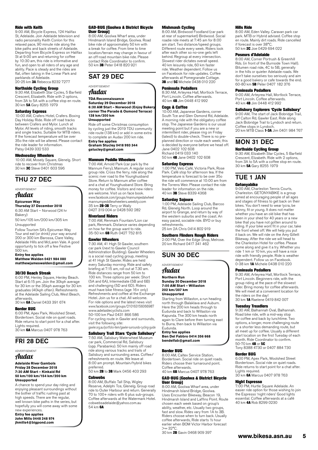#### Ride with Keith

9:00 AM, Bicycle Express, 124 Halifax St, Adelaide. Join Adelaide television and radio personality Keith Conlon for this relaxed pace, 90 minute ride along the bike paths and back streets of Adelaide. Departing from Bicycle Express on Halifax St at 9:00 am and returning for coffee by 10:30 am, this ride is informative and fun, and open to all riders of any age and ability. Pace is steady and the rides are flat, often taking in the Linear Park and parklands of Adelaide. 20-25 km 3A Rebecca 8232 7277

#### Northside Cycling Group

9:30 AM, Elizabeth Star Cycles, 5 Barfield Crescent, Elizabeth. Ride with 2 options, from 3A to 5A with a coffee stop en route. 30 km 5A Gary 8255 1979

**Saturday Express**<br>10:00 AM, Crafers Hotel, Crafers. Boxing Day Holiday Ride. Ride off road tracks between Crafers and Mylor. Lunch at Mylor. All levels of riding, smooth tracks and single tracks. Suitable for MTB riders. If the forecast temperature will be over 35o the ride will be altered. Please contact the ride leader for information. Patsy 0439 332 533

#### Wednesday Wheelers

10:00 AM, Mosely Square, Glenelg. Short ride to recover from Christmas 30 km 3C Steve 0401 603 596

# THU 27 DEC

# ADVERTISEMENT

# Audax

**Epicurean Way Thursday 27 December 2018**

6:30 AM Start – Norwood (24 hr Bakery)

50 km/105 km/200 km/305 km Unsupported

Follow Tourism SA's Epicurean Way Tour and eat (or drink) your way around 200 or 300 km Barossa, Clare Valley, Adelaide Hills and McLaren Vale. A good opportunity to tick off a few Festive 500 km.

**Entry fee applies Matthew Walden 0421 984 080 matthewjameswalden@gmail.com**

#### 30/30 Beach Streak

6:00 PM, Henley Square, Henley Beach. Start at 6:15 pm. Join the 30kph average for 30 km or the 35kph average for 30 km graduates (40kph often). Refreshments at the Adelaide Sailing Club, West Beach, afterwards.<br>30 km **6A** Daniel 0433 391 674

#### Border BUG

6:00 PM, Apex Park, Woolshed Street, Bordertown. Social ride on quiet roads. Ride returns to start point for a chat after. Lights required. 30 km 6A Marcus 0407 978 763

# FRI 28 DEC

# ADVERTISEMENT

# Audax

#### **Adelaide River Gambols Friday 28 December 2018 7:30 AM Start – Kinkaid Rd 50 km/100 km/154 km/200 km Unsupported**

A chance to spend your day riding and enjoying pleasant surroundings without the bother of traffic rushing past at high speeds. There are the regular, well known bike paths in the series, but hopefully you will come away with some new experiences.

**Entry fee applies John Mills 0448 248 974 jhmills4@bigpond.com**

#### GAD-BUG (Goolwa & District Bicycle User Group)

8:00 AM, Goolwa Wharf area, under Hindmarsh Island Bridge, Goolwa. Road bike ride of approximately 50 km with a break for coffee. From time to time location/terrain may change in favour of an off-road mountain bike ride. Please contact Ride Coordinator to confirm. 50 km 3B Peter 0418 820 921

# SAT 29 DEC

ADVERTISEMENT

# Audax

**TDA Reconnaissance Saturday 29 December 2018 6:30 AM Start – Norwood (Enjoy Bakery, corner The Parade & Osmond Terrace) 138 km/200 km Unsupported**

Ride off some Christmas consumption by cycling just the 2019 TDU community ride route (138 km) or add in some extra to complete an Audax 200 km ride. **Entry fee applies Graham Stucley 0418 993 344**

**gstucley@gmail.com**

#### Mannum Peddle Wheelers

7:00 AM, Arnold Park (car park by the Mannum Ferry), Mannum. A regular social group ride. Cross the ferry, ride along the scenic river road to the Younghusband Store. Return to Mannum after coffee and a chat at Younghusband Store. Bring money for coffee. Visitors and new riders are welcome. Visit us on face book. www.facebook.com/groups/mannumpedalwheel mannumpeddlewheelers.weebly.com 35 km 2B-3B Terry or Wally 0427 319 004 or 0428 592 282

#### Riverland Riders

7:00 AM, Renmark Fountain/Lion car park, Renmark. Distance varies depending on how far the group want to ride. 35-50 km 6B Ruth 0427 752 815

#### Gawler Wheelers

7:30 AM, 41 High St Gawler, southern car park (next to Gawler Council Administration Building). Gawler Wheelers is a social road cycling group, meeting at 41 High St Gawler. Rides are held every Saturday morning. Ride and safety briefing at 7:15 am, roll out at 7.30 am. Ride distances range from 50 km to 100 km. Three options per week: Short (5A and 6A), Intermediate (5B and 6B) and challenging (5D and 6D). Riders must have bike fitness (age 16+ only) Refreshments and coffee at the Exchange Hotel. Join us for a chat. All welcome. For ride options and the latest news visit www.facebook.com/groups/210163156066987 [www.adelaidecyclists.com](http://www.adelaidecyclists.com) 50-100 km Paul 0431 866 586 For cycling route in Gawler and surrounds, visit the following site: gawler.org.au/portfolio-item/gawler-surrounds-cycling-guide

#### Salisbury Trail Stars 'Cycle Salisbury'

7:50 AM, Salisbury Waterwheel Museum car park, Commercial Rd, Salisbury (opp. Parabanks). 50 km mainly off road ride along various tracks and trails of Salisbury and surrounding areas. Coffee/ refreshments en route. We leave at 8:00 am prompt. Mountain/hybrid bikes preferred.

50 km 2B to 3B Mark 0456 403 293

# **Cobwebs**

8:00 AM, Buffalo Tall Ship, Wigley Reserve, Adelphi Tce, Glenelg. Group road ride to Outer Harbour and return. Generally 70 to 100+ riders with 6 plus sub-groups. Coffee afterwards at the Watermark Hotel. cobwebsadelaide@yahoo.com.au 54 km **6A** 

#### Mishmash Cycling

8:00 AM, Birdwood Foodland (car park at rear of supermarket) Birdwood. Social roadie ride meets at 7:45 am for 8:00 am start. Two distance/speed groups. Different route every week. Riders look after each other so no-one gets left behind. Regroup at every intersection. Slowest rider dictates overall speed. 40 km leisurely ride, 60 km faster ride. Weather dependent. Follow us on Facebook for ride updates. Coffee afterwards at Pomegranate Cottage. **3B** and 5C Michele 0438 010 220

#### Peninsula Pedallers

8:30 AM, Arteyrea Hall, Mortlock Terrace, Port Lincoln. Coffee afterwards. 40 km 4B Jim 0448 412 992

#### Cogs & Coffee

10:00 AM, Japanese Gardens, corner South Tce and Glen Osmond Rd, Adelaide. A morning ride with the obligatory coffee stop. The Japanese Gardens is our usual meeting point but if you are a new or intermittent rider, please ring on Friday (latest) to double-check. There is no preplanned direction or route each week; this is decided by everyone before we head off. Jane 0402 102 608 Richard 0419 033 140

50 km 4B Jane 0402 102 608

#### Saturday Express

1:00 PM, Velo Café, Victoria Park, Rose Park. Café stop for afternoon tea. If the temperature is forecast to be over 35o the ride will commence at 10:00 am from the Torrens Weir. Please contact the ride leader for information on the ride. 40 km 3B Steve 8339 4368

#### Saturday Sojourn

1:00 PM, Adelaide Sailing Club, Barcoo Rd, Glenelg North. Loop around the airport to Grange, and return by way of the western suburbs and the coast. An easy paced, sociable ride. BYO or buy refreshments. 25 km 2A Chris 0414 802 919

# Southern Flinders Rough Riders

2:00 PM, Over the Edge Shop, Melrose. 20 km Richard 0417 341 462

## SUN 30 DEC

ADVERTISEMENT Audax

# **Northern Run**

**Sunday 30 December 2018 7:00 AM Start – Willaston 202 km/307 km Unsupported**

Starting from Willaston, a run heading north through Balaklava and Auburn. Here the 200 km heads through to Eudunda and back to Willaston via Kapunda. The 300 km heads north again to Clare before then turning east to Burra, then back to Willaston via Eudunda. **Entry fee applies**

#### **Ben Del Fabbro 0414 356 668 bendelfab@gmail.com**

#### Border BUG

8:00 AM, Caltex Service Station, Bordertown. Social ride on quiet roads. Border town: edditional map on quiet redd. Coffee afterwards. 40 km 6B Marcus 0407 978 763

#### GAD-BUG (Goolwa & District Bicycle User Group)

8:00 AM, Goolwa Wharf area, under Hindmarsh Island Bridge, Goolwa. Uses Encounter Bikeway, Beacon 19, Hindmarsh Island and Laffins Point. Route chosen each week based on group's ability, weather, etc. Usually two group fast and slow. Rides vary from 1A to 3B. Riders choose when to turn back. Usually coffee afterwards, Ride starts ½ hour earlier when BOM Victor Harbor forecast  $>= 32^{\circ}C$ 

30 km 2B Gavin 0468 909 397

#### Hills Ride

8:00 AM, Eden Valley. Caravan park car park. MTB or Hybrid advised. Coffee stop en route. Mainly dirt roads. Ride cancelled if forecast is over 38°C. 50 km **2C** Joe 0429 694 022

#### Poseurs d'Adelaide

8:00 AM, Corner Portrush & Greenhill Rds. (in front of the Burnside Town Hall). Bitumen road ride, 4C to 5B, generally in the hills or quieter Adelaide roads. We don't take ourselves too seriously and aim for a good bakery or cafe towards the end. 60-80 km 5B Peter 0407 182 376

#### Peninsula Pedallers

9:00 AM, Arteyrea Hall, Mortlock Terrace, Port Lincoln. Coffee afterwards. 40 km 4B Jim 0448 412 992

#### Salisbury Explorers 'Cycle Salisbury'

9:00 AM, The start of Jack Bobridge Trail, off Calton Rd, Gawler East. Ride along Jack Bobridge Trail to Lyndoch and return. Coffee stops in Lyndoch.<br>20 km MTB Class **1-3A** Jim 0401 984 767

# MON 31 DEC

#### Northside Cycling Group

9:30 AM, Elizabeth Star Cycles, 5 Barfield Crescent, Elizabeth. Ride with 2 options, from 3A to 5A with a coffee stop en route. 30 km 5A Gary 8255 1979

### TUE 1 JAN Getonyabike

9:00 AM, Charleston Tennis Courts, Charleston. GETONYABIKE is a group aimed at encouraging people of all ages and stages of fitness to get back on their bikes. You don't need to wear lycra, be skinny, fit or young. It does not matter whether you have an old bike that has been in your shed for 40 years or a new bike that you have not gotten around to riding. If your bike wont fit in your car, take the front wheel off. We will help you put it back on. We will ride on the Amy Gillett Bikeway. After the ride we will head to the Charleston Hotel for coffee. Please come along and give it a try. Whether you ride 1 km or 10 km, you will have a nice ride with friendly people. Ride is weather dependent. Follow us on Facebook. 0-38 km 1A Michele 0438 010 220

#### Peninsula Pedallers

9:30 AM, Arteyrea Hall, Mortlock Terrace, Port Lincoln. Beginners ride, with the group riding at the pace of the slowest rider. Bring money for coffee afterwards. We will meet at a convenient location for the riders on the day! 30 km 1A Raelene 0419 842 007

#### Tuesday Treadlers

9:30 AM, Balhannah Oval, Balhannah. Road bike ride, with a mid-way stop for coffee and back by lunchtime. Two options, a longer, more challenging route or a shorter less demanding route, but all meet up for coffee. Usually a different start location on the first Tuesday of each month. Ride Coordinator to confirm. 50-70 km **4B** or 5C Tony 8388 4730 or 0407 884 730

#### Border BUG

6:00 PM, Apex Park, Woolshed Street Bordertown. Social ride on quiet roads. Ride returns to start point for a chat after. Lights required. 30 km 6A Marcus 0407 978 763

## Night Espresso

7:00 PM, Hurtle Square Adelaide. An easier ride option for those wishing to join the Espresso 'night riders' Good lights essential. Coffee afterwards at a café 40 km 4A Rob 8299 0230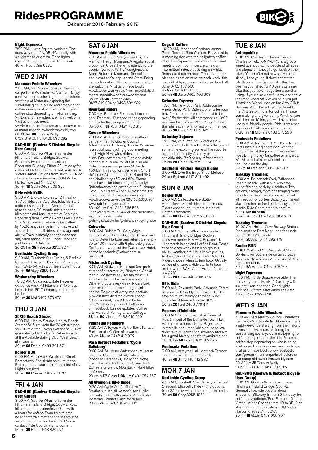December 2018-February 2019



#### Night Espresso

7:00 PM, Hurtle Square Adelaide. The rides vary from 6A, 5B, 4C usually with a slightly easier option. Good lights essential. Coffee afterwards at a café. 40 km Rob 8299 0230

# WED 2 JAN

#### Mannum Peddle Wheelers

7:00 AM, Mid-Murray Council Chambers, car park, 49 Adelaide Rd, Mannum. Enjoy a mid-week ride starting from the historic township of Mannum, exploring the surrounding countryside and stopping for coffee during or after the ride. Route and coffee stop depending on who is riding. Visitors and new riders are most welcome. Visit us on face book.

www.facebook.com/groups/mannumpedalwheelers or mannumpeddlewheelers.weebly.com<br>30-80 km **3B** Terry or Wally<br>0427 319 004 or 0428 592 282

# GAD-BUG (Goolwa & District Bicycle **User Group)**<br>8:00 AM, Goolwa Wharf area, under

Hindmarsh Island Bridge, Goolwa. Generally two ride options along Encounter Bikeway. Either 30 km easy for coffee at Middleton/Port Elliot or 45 km to Victor Harbor. Options from 1B to 3B. Ride starts ½ hour earlier when BOM Victor Harbor forecast >= 32°C.<br>30 km **1B** Gavin 0468 909 397

#### Ride with Keith

9:00 AM, Bicycle Express, 124 Halifax St, Adelaide. Join Adelaide television and radio personality Keith Conlon for this relaxed pace, 90 minute ride along the bike paths and back streets of Adelaide. Departing from Bicycle Express on Halifax St at 9:00 am and returning for coffee by 10:30 am, this ride is informative and fun, and open to all riders of any age and ability. Pace is steady and the rides are flat, often taking in the Linear Park and parklands of Adelaide.

20-25 km 3A Rebecca 8232 7277

#### Northside Cycling Group

9:30 AM, Elizabeth Star Cycles, 5 Barfield Crescent, Elizabeth. Ride with 2 options, from 3A to 5A with a coffee stop en route. 30 km 5A Gary 8255 1979

**Wednesday Wheelers**<br>10:00 AM, Oaklands Estate Reserve, Oaklands Park. All bitumen, BYO or buy lunch. If hot, 35°C or more, contact ride leader.

50 km 3C Mal 0407 870 470

# THU 3 JAN

#### 30/30 Beach Streak

6:00 PM, Henley Square, Henley Beach. Start at 6:15 pm. Join the 30kph average for 30 km or the 35kph average for 30 km araduates (40kph often). Refreshments at the Adelaide Sailing Club, West Beach, afterwards.<br>30 km **6A** Daniel 0433 391 674

#### Border BUG

6:00 PM, Apex Park, Woolshed Street, Bordertown. Social ride on quiet roads. Ride returns to start point for a chat after. Lights required. 30 km 6A Marcus 0407 978 763

# FRI 4 JAN GAD-BUG (Goolwa & District Bicycle

User Group) 8:00 AM, Goolwa Wharf area, under Hindmarsh Island Bridge, Goolwa. Road bike ride of approximately 50 km with a break for coffee. From time to time location/terrain may change in favour of an off-road mountain bike ride. Please

contact Ride Coordinator to confirm.<br>50 km **3B** Peter 0418 820 921

# SAT 5 JAN

### Mannum Peddle Wheelers

7:00 AM, Arnold Park (car park by the Mannum Ferry), Mannum. A regular social group ride. Cross the ferry, ride along the scenic river road to the Younghusband Store. Return to Mannum after coffee and a chat at Younghusband Store. Bring money for coffee. Visitors and new riders are welcome. Visit us on face book. www.facebook.com/groups/mannumpedalwheel mannumpeddlewheelers.weebly.com 35 km 2B-3B Terry or Wally 0427 319 004 or 0428 592 282

#### Riverland Riders

7:00 AM, Renmark Fountain/Lion car park, Renmark. Distance varies depending on how far the group want to ride. 35-50 km 6B Ruth 0427 752 815

#### Gawler Wheelers

7:30 AM, 41 High St Gawler, southern car park (next to Gawler Council Administration Building). Gawler Wheelers is a social road cycling group, meeting at 41 High St Gawler. Rides are held every Saturday morning. Ride and safety briefing at 7:15 am, roll out at 7.30 am. Ride distances range from 50 km to 100 km. Three options per week: Short (5A and 6A), Intermediate (5B and 6B) and challenging (5D and 6D). Riders must have bike fitness (age 16+ only) Refreshments and coffee at the Exchange Hotel. Join us for a chat. All welcome. For ride options and the latest news visit www.facebook.com/groups/210163156066987 [www.adelaidecyclists.com](http://www.adelaidecyclists.com) 50-100 km Paul 0431 866 586

For cycling route in Gawler and surrounds, visit the following site: gawler.org.au/portfolio-item/gawler-surrounds-cycling-guide

**Cobwebs** 

8:00 AM, Buffalo Tall Ship, Wigley Reserve, Adelphi Tce, Glenelg. Group road ride to Outer Harbour and return. Generally 70 to 100+ riders with 6 plus sub-groups. Coffee afterwards at the Watermark Hotel. cobwebsadelaide@yahoo.com.au 54 km 6A

**Mishmash Cycling**<br>8:00 AM, Birdwood Foodland (car park at rear of supermarket) Birdwood. Social roadie ride meets at 7:45 am for 8:00 am start. Two distance/speed groups. Different route every week. Riders look after each other so no-one gets left behind. Regroup at every intersection. Slowest rider dictates overall speed. 40 km leisurely ride, 60 km faster ride. Weather dependent. Follow us on Facebook for ride updates. Coffee afterwards at Pomegranate Cottage. 3B and 5C Michele 0438 010 220

#### Peninsula Pedallers

8:30 AM, Arteyrea Hall, Mortlock Terrace, Port Lincoln. Coffee afterwards. 40 km 4B Jim 0448 412 992

# Para District Pedallers 'Cycle

**Salisbury'**<br>9:00 AM, Salisbury Waterwheel Museum car park, Commercial Rd, Salisbury (opposite Parabanks). Easy ride along the Little para Trail and Dry Creek Trails. Coffee afterwards. Mountain/hybrid bikes preferred.<br>20 km MTB Class **1-3A** Jim 0401 984 767

### All Women's Bike Rides

9:30 AM, Cycle On' 2/19 Albyn Tce, Strathalbyn. An all women's social bike ride with coffee afterwards. Various start locations Contact Lanie for details. 20 km 2B Lanie 0406 452 117

#### Cogs & Coffee

10:00 AM, Japanese Gardens, corner South Tce and Glen Osmond Rd, Adelaide. A morning ride with the obligatory coffee stop. The Japanese Gardens is our usual meeting point but if you are a new or intermittent rider, please ring on Friday (latest) to double-check. There is no preplanned direction or route each week; this is decided by everyone before we head off. Jane 0402 102 608 Richard 0419 033 140 50 km 4B Jane 0402 102 608

Saturday Express

1:00 PM, Heywood Park, Addiscombe Place, Unley Park. Café stop for afternoon tea. If the temperature is forecast to be over 35o the ride will commence at 10:00 am from the Torrens Weir. Please contact the ride leader for information on the ride. 40 km 3B Hal 0427 084 097

#### Saturday Sojourn

1:00 PM, Velo Precinct, Victoria Park Grandstand, Fullarton Rd, Adelaide. Spend some time exploring some of the suburbs adjacent to the city. An easy paced, sociable ride. BYO or buy refreshments. 25 km **2A** Helen 0428 511 724

#### Southern Flinders Rough Riders

2:00 PM, Over the Edge Shop, Melrose. 20 km Richard 0417 341 462

# SUN 6 JAN

# Border BUG

8:00 AM, Caltex Service Station, Bordertown. Social ride on quiet roads. Riders choose their turnaround point. Coffee afterwards. 40 km 6B Marcus 0407 978 763

#### GAD-BUG (Goolwa & District Bicycle User Group)

8:00 AM, Goolwa Wharf area, under Hindmarsh Island Bridge, Goolwa. Uses Encounter Bikeway, Beacon 19, Hindmarsh Island and Laffins Point. Route chosen each week based on group's ability, weather, etc. Usually two groups fast and slow. Rides vary from 1A to 3B. Riders choose when to turn back. Usually coffee afterwards, Ride starts ½ hour earlier when BOM Victor Harbor forecast  $>= 32^{\circ}C$ 30 km 2B Gavin 0468 909 397

#### Hills Ride

8:00 AM, Oaklands Park. Oaklands Estate Reserve. MTB or Hybrid advised. Coffee stop en route. Mainly dirt roads. Ride cancelled if forecast is over 38°C. 50 km 2C Paul 0403 779 411

#### Poseurs d'Adelaide

8:00 AM, Corner Portrush & Greenhill Rds. (in front of the Burnside Town Hall). Bitumen road ride, 4C to 5B, generally in the hills or quieter Adelaide roads. We don't take ourselves too seriously and aim for a good bakery or cafe towards the end. 60-80 km 5B Peter 0407 182 376

#### Peninsula Pedallers

9:00 AM, Arteyrea Hall, Mortlock Terrace, Port Lincoln. Coffee afterwards. 40 km 4B Jim 0448 412 992

## MON 7 JAN Northside Cycling Group

9:30 AM, Elizabeth Star Cycles, 5 Barfield Crescent, Elizabeth. Ride with 2 options, from 3A to 5A with a coffee stop en route. 30 km 5A Gary 8255 1979

# TUE 8 JAN

#### Getonyabike

9:00 AM, Charleston Tennis Courts, Charleston. GETONYABIKE is a group aimed at encouraging people of all ages and stages of fitness to get back on their bikes. You don't need to wear lycra, be skinny, fit or young. It does not matter whether you have an old bike that has been in your shed for 40 years or a new bike that you have not gotten around to riding. If your bike wont fit in your car, take the front wheel off. We will help you put it back on. We will ride on the Amy Gillett Bikeway. After the ride we will head to the Charleston Hotel for coffee. Please come along and give it a try. Whether you ride 1 km or 10 km, you will have a nice ride with friendly people. Ride is weather dependent. Follow us on Facebook. 0-38 km 1A Michele 0438 010 220

#### Peninsula Pedallers

9:30 AM, Arteyrea Hall, Mortlock Terrace, Port Lincoln. Beginners ride, with the group riding at the pace of the slowest rider. Bring money for coffee afterwards. We will meet at a convenient location for the riders on the day! 30 km 1A Raelene 0419 842 007

#### Tuesday Treadlers

9:30 AM, Balhannah Oval, Balhannah. Road bike ride, with a mid-way stop for coffee and back by lunchtime. Two options, a longer, more challenging route or a shorter less demanding route, but all meet up for coffee. Usually a different start location on the first Tuesday of each month. Ride Coordinator to confirm. 50-70 km 4B or 5C

Tony 8388 4730 or 0407 884 730

### Tuesday Traverse

10:00 AM, Hallett Cove Railway Station. Ride south to Port Noarlunga for lunch. Some hills. BYO lunch. 40 km 2C Alan 0414 392 179

#### Border BUG

6:00 PM, Apex Park, Woolshed Street Bordertown. Social ride on quiet roads. Ride returns to start point for a chat after. Lights required. 30 km 6A Marcus 0407 978 763

#### Night Espresso

7:00 PM, Hurtle Square Adelaide. The rides vary from 6A, 5B, 4C usually with a slightly easier option. Good lights essential. Coffee afterwards at a café. 40 km Rob 8299 0230

# WED 9 JAN

### Mannum Peddle Wheelers

7:00 AM, Mid-Murray Council Chambers, car park, 49 Adelaide Rd, Mannum. Enjoy a mid-week ride starting from the historic township of Mannum, exploring the surrounding countryside and stopping for coffee during or after the ride. Route and coffee stop depending on who is riding. Visitors and new riders are most welcome. Visit us on face book. www.facebook. com/groups/mannumpedalwheelers or mannumpeddlewheelers.weebly.com 30-80 km 3B Terry or Wally 0427 319 004 or 0428 592 282

#### GAD-BUG (Goolwa & District Bicycle User Group)

8:00 AM, Goolwa Wharf area, under Hindmarsh Island Bridge, Goolwa. Generally two ride options along Encounter Bikeway. Either 30 km easy for coffee at Middleton/Port Elliot or 45 km to Victor Harbor. Options from 1B to 3B. Ride starts ½ hour earlier when BOM Victor Harbor forecast >= 32°C. 30 km 1B Gavin 0468 909 397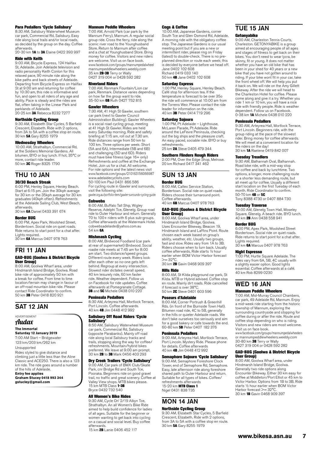#### Para Pedallers 'Cycle Salisbury'

8:30 AM, Salisbury Waterwheel Museum car park, Commercial Rd, Salisbury. Easy ride along local trails and/or local roads, as decided by the group on the day. Coffee afterwards.

20-30 km 1A to 3A Elaine 0422 393 997

#### Ride with Keith

9:00 AM, Bicycle Express, 124 Halifax St, Adelaide. Join Adelaide television and radio personality Keith Conlon for this relaxed pace, 90 minute ride along the bike paths and back streets of Adelaide. Departing from Bicycle Express on Halifax St at 9:00 am and returning for coffee by 10:30 am, this ride is informative and fun, and open to all riders of any age and ability. Pace is steady and the rides are flat, often taking in the Linear Park and parklands of Adelaide. 20-25 km 3A Rebecca 8232 7277

Northside Cycling Group 9:30 AM, Elizabeth Star Cycles, 5 Barfield Crescent, Elizabeth. Ride with 2 options, from 3A to 5A with a coffee stop en route. 30 km 5A Gary 8255 1979

#### Wednesday Wheelers

10:00 AM, Strathalbyn, Commercial Rd, at the Soldiers Memorial Gardens. All bitumen, BYO or buy lunch. If hot, 35°C or more, contact ride leader. 50 km **3C** Roger 8325 1790

THU 10 JAN

### 30/30 Beach Streak

6:00 PM, Henley Square, Henley Beach. Start at 6:15 pm. Join the 30kph average for 30 km or the 35kph average for 30 km graduates (40kph often). Refreshments at the Adelaide Sailing Club, West Beach, afterwards.

30 km 6A Daniel 0433 391 674

#### Border BUG

6:00 PM, Apex Park, Woolshed Street, Bordertown. Social ride on quiet roads. Ride returns to start point for a chat after. Lights required.

30 km 6A Marcus 0407 978 763

## FRI 11 JAN

#### GAD-BUG (Goolwa & District Bicycle User Group)

8:00 AM, Goolwa Wharf area, under Hindmarsh Island Bridge, Goolwa. Road bike ride of approximately 50 km with a break for coffee. From time to time location/terrain may change in favour of an off-road mountain bike ride. Please contact Ride Coordinator to confirm. 50 km 3B Peter 0418 820 921

# SAT 12 JAN

#### ADVERTISEMENT

Audax

#### **The Immortal**

**Saturday 12 January 2019** 7:00 AM Start – Bridgewater 123 km/203 km/262 km Unsupported Rides styled to give distance and

climbing just a little less than the Aline Classic and ACE250. There is also a 123 km ride. The ride goes around a number of the hills of Adelaide.

**Entry fee applies Graham Stucey 0418 993 344 gstucley@gmail.com**

#### Mannum Peddle Wheelers

7:00 AM, Arnold Park (car park by the Mannum Ferry), Mannum. A regular social group ride. Cross the ferry, ride along the scenic river road to the Younghusband Store. Return to Mannum after coffee and a chat at Younghusband Store. Bring money for coffee. Visitors and new riders are welcome. Visit us on face book. www.facebook.com/groups/mannumpedalwheel mannumpeddlewheelers.weebly.com 35 km **2B-3B** Terry or Wally<br>0427 319 004 or 0428 592 282

#### Riverland Riders

7:00 AM, Renmark Fountain/Lion car park, Renmark. Distance varies depending on how far the group want to ride. 35-50 km 6B Ruth 0427 752 815

#### Gawler Wheelers

7:30 AM, 41 High St Gawler, southern car park (next to Gawler Council Administration Building). Gawler Wheelers is a social road cycling group, meeting at 41 High St Gawler. Rides are held every Saturday morning. Ride and safety briefing at 7:15 am, roll out at 7.30 am. Ride distances range from 50 km to 100 km. Three options per week: Short (5A and 6A), Intermediate (5B and 6B) and challenging (5D and 6D). Riders must have bike fitness (age 16+ only) Refreshments and coffee at the Exchange Hotel. Join us for a chat. All welcome. For ride options and the latest news visit www.facebook.com/groups/210163156066987 [www.adelaidecyclists.com](http://www.adelaidecyclists.com) 50-100 km Paul 0431 866 586 For cycling route in Gawler and surrounds. visit the following site:

gawler.org.au/portfolio-item/gawler-surrounds-cycling-guide

### **Cobwebs**

8:00 AM, Buffalo Tall Ship, Wigley Reserve, Adelphi Tce, Glenelg. Group road ride to Outer Harbour and return. Generally 70 to 100+ riders with 6 plus sub-groups. Coffee afterwards at the Watermark Hotel. cobwebsadelaide@yahoo.com.au 54 km 6A

#### Mishmash Cycling

8:00 AM, Birdwood Foodland (car park at rear of supermarket) Birdwood. Social roadie ride meets at 7:45 am for 8:00 am start. Two distance/speed groups. Different route every week. Riders look after each other so no-one gets left behind. Regroup at every intersection. Slowest rider dictates overall speed. 40 km leisurely ride, 60 km faster ride. Weather dependent. Follow us on Facebook for ride updates. Coffee afterwards at Pomegranate Cottage. 3B and 5C Michele 0438 010 220

#### Peninsula Pedallers

8:30 AM, Arteyrea Hall, Mortlock Terrace, Port Lincoln. Coffee afterwards. 40 km 4B Jim 0448 412 992

## Salisbury Off Road Riders 'Cycle Salisbury'<br>8:50 AM, Salisbury Waterwheel Museum

car park, Commercial Rd, Salisbury (opposite Parabanks). Mainly off road ride along local Salisbury tracks and trails, stopping along the way for coffee/ refreshments. Mountain/hybrid bikes preferred. We leave at 9:00 am prompt. 30 km **2B** to 3B Mark 0456 403 293

### Dry Creek Trailers 'Cycle Salisbury'

9:00 AM, Car park of BMX Club/Skate Park, cnr Bridge Rd and South Tce, Pooraka. Beginners ride on good gravel trail, no traffic and great scenery. Coffee at Valley View shops. MTB bikes please. 15 km MTB Class **1-3B** Bryce 0432 732 540

#### All Women's Bike Rides

9:30 AM, Cycle On' 2/19 Albyn Tce, Strathalbyn. An all Women's Bike Ride aimed to help build confidence for ladies of all ages. Suitable for the beginner or women wanting to get back into cycling on a casual and social level. Buy coffee

afterwards. 15 km 2B Lanie 0406 452 117

#### Cogs & Coffee

10:00 AM, Japanese Gardens, corner South Tce and Glen Osmond Rd, Adelaide. A morning ride with the obligatory coffee stop. The Japanese Gardens is our usual meeting point but if you are a new or intermittent rider, please ring on Friday (latest) to double-check. There is no preplanned direction or route each week; this is decided by everyone before we head off. Jane 0402 102 608 Richard 0419 033 140

50 km 4B Jane 0402 102 608

#### Saturday Express

1:00 PM, Henley Square, Henley Beach. Café stop for afternoon tea. If the temperature is forecast to be over 35o the ride will commence at 10:00 am from the Torrens Weir. Please contact the ride leader for information on the ride. 40 km 3B Peter 0414 719 296

#### Saturday Sojourn

1:00 PM, Pt Adelaide – Lighthouse, McLaren Parade, Pt Adelaide. Ride around the LeFevre Peninsula, checking out the big ships and the pleasure craft. An easy paced, sociable ride. BYO or buy refreshments. 25 km **2A** Steve 0405 479 344

#### Southern Flinders Rough Riders

2:00 PM, Over the Edge Shop, Melrose. 20 km Richard 0417 341 462

#### SUN 13 JAN Border BUG

8:00 AM, Caltex Service Station, Bordertown. Social ride on quiet roads. Riders choose their turnaround point. Coffee afterwards. Corree arterwards.<br>40 km 6B Marcus 0407 978 763

#### GAD-BUG (Goolwa & District Bicycle User Group)

8:00 AM, Goolwa Wharf area, under Hindmarsh Island Bridge, Goolwa. Uses Encounter Bikeway, Beacon 19, Hindmarsh Island and Laffins Point. Route chosen each week based on group's ability, weather, etc. Usually two groups, fast and slow. Rides vary from 1A to 3B. Riders choose when to turn back. Usually coffee afterwards, Ride starts ½ hour earlier when BOM Victor Harbor forecast  $>= 32^{\circ}C$ .

30 km 2B Gavin 0468 909 397

### Hills Ride

8:00 AM, St Kilda playground car park, St Kilda. MTB or Hybrid advised. Coffee stop en route. Mainly dirt roads. Ride cancelled if forecast is over 38°C. 50 km 2C Steve 0401 603 596

#### Poseurs d'Adelaide

8:00 AM, Corner Portrush & Greenhill Rds. (in front of the Burnside Town Hall). Bitumen road ride, 4C to 5B, generally in the hills or quieter Adelaide roads. We don't take ourselves too seriously and aim for a good bakery or cafe towards the end. 60-80 km 5B Peter 0407 182 376

#### Peninsula Pedallers

9:00 AM, Arteyrea Hall, Mortlock Terrace, Port Lincoln. Mystery Ride. Please phone for details. Coffee afterwards 40 km 4B Jim 0448 412 992

#### Semaphore Sojourn 'Cycle Salisbury'

9:00 AM, Semaphore Foreshore Clock Tower, end of Semaphore Rd, Semaphore. Easy, late afternoon ride along foreshore shared path to Outer Harbour and return. Suitable for all types of bikes. Coffee/ refreshments afterwards<br>15-20 km **MTB Class 1** Nigel 0431 838 735

# MON 14 JAN Northside Cycling Group

9:30 AM, Elizabeth Star Cycles, 5 Barfield Crescent, Elizabeth. Ride with 2 options, from 3A to 5A with a coffee stop en route. 30 km 5A Gary 8255 1979

# TUE 15 JAN

#### Getonyabike

9:00 AM, Charleston Tennis Courts, Charleston. GETONYABIKE is a group aimed at encouraging people of all ages and stages of fitness to get back on their bikes. You don't need to wear lycra, be skinny, fit or young. It does not matter whether you have an old bike that has been in your shed for 40 years or a new bike that you have not gotten around to riding. If your bike wont fit in your car, take the front wheel off. We will help you put it back on. We will ride on the Amy Gillett Bikeway. After the ride we will head to the Charleston Hotel for coffee. Please come along and give it a try. Whether you ride 1 km or 10 km, you will have a nice ride with friendly people. Ride is weather dependent. Follow us on Facebook. 0-38 km **1A** Michele 0438 010 220

#### Peninsula Pedallers

9:30 AM, Arteyrea Hall, Mortlock Terrace, Port Lincoln. Beginners ride, with the group riding at the pace of the slowest greap manig at the pace of the sisticate.<br>rider. Bring money for coffee afterwards. We will meet at a convenient location for the riders on the day! 30 km 1A Raelene 0419 842 007

#### Tuesday Treadlers

9:30 AM, Balhannah Oval, Balhannah. Road bike ride, with a mid-way stop for coffee and back by lunchtime. Two options, a longer, more challenging route or a shorter less demanding route, but all meet up for coffee. Usually a different start location on the first Tuesday of each month. Ride Coordinator to confirm. 50-70 km 4B or 5C Tony 8388 4730 or 0407 884 730

#### Tuesday Traverse

10:00 AM, Glenelg Town Hall, Moseley Square, Glenelg. A beach ride. BYO lunch. 40 km 2B Ann 0438 558 941

#### Border BUG

6:00 PM, Apex Park, Woolshed Street Bordertown. Social ride on quiet roads. Ride returns to start point for a chat after. Lights required. 30 km 6A Marcus 0407 978 763

## Night Espresso

7:00 PM, Hurtle Square Adelaide. The rides vary from 6A, 5B, 4C usually with a slightly easier option. Good lights essential. Coffee afterwards at a café. 40 km Rob 8299 0230

# WED 16 JAN

#### Mannum Peddle Wheelers

7:00 AM, Mid-Murray Council Chambers, car park, 49 Adelaide Rd, Mannum. Enjoy a mid-week ride starting from the historic township of Mannum, exploring the surrounding countryside and stopping for coffee during or after the ride. Route and coffee stop depending on who is riding. Visitors and new riders are most welcome. Visit us on face book.

www.facebook.com/groups/mannumpedalwheelers or mannumpeddlewheelers.weebly.com 30-80 km 3B Terry or Wally 0427 319 004 or 0428 592 282

#### GAD-BUG (Goolwa & District Bicycle User Group)

8:00 AM, Goolwa Wharf area, under Hindmarsh Island Bridge, Goolwa. Generally two ride options along Encounter Bikeway. Either 30 km easy for coffee at Middleton/Port Elliot or 45 km to Victor Harbor. Options from 1B to 3B. Ride starts ½ hour earlier when BOM Victor Harbor forecast >= 32°C 30 km 1B Gavin 0468 909 397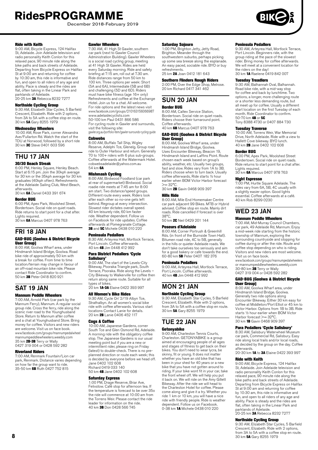December 2018-February 2019



9:00 AM, Bicycle Express, 124 Halifax St, Adelaide. Join Adelaide television and radio personality Keith Conlon for this relaxed pace, 90 minute ride along the bike paths and back streets of Adelaide. Departing from Bicycle Express on Halifax St at 9:00 am and returning for coffee by 10:30 am, this ride is informative and fun, and open to all riders of any age and ability. Pace is steady and the rides are flat, often taking in the Linear Park and parklands of Adelaide. 20-25 km 3A Rebecca 8232 7277

#### Northside Cycling Group

9:30 AM, Elizabeth Star Cycles, 5 Barfield Crescent, Elizabeth. Ride with 2 options, from 3A to 5A with a coffee stop en route. 30 km 5A Gary 8255 1979

## Wednesday Wheelers

10:00 AM, Rose Park, corner Alexandra Ave/Fullarton Rd. Watch the start of the TDU at Norwood, followed by a short ride 30 km 3C Steve 0401 603 596

# THU 17 JAN

## 30/30 Beach Streak

6:00 PM, Henley Square, Henley Beach. Start at 6:15 pm. Join the 30kph average for 30 km or the 35kph average for 30 km graduates (40kph often). Refreshments at the Adelaide Sailing Club, West Beach, afterwards.

30 km 6A Daniel 0433 391 674

#### Border BUG

6:00 PM, Apex Park, Woolshed Street, Bordertown. Social ride on quiet roads. Ride returns to start point for a chat after. Lights required. 30 km 6A Marcus 0407 978 763

# FRI 18 JAN

#### GAD-BUG (Goolwa & District Bicycle User Group)

8:00 AM, Goolwa Wharf area, under Hindmarsh Island Bridge, Goolwa. Road bike ride of approximately 50 km with a break for coffee. From time to time location/terrain may change in favour of an off-road mountain bike ride. Please contact Ride Coordinator to confirm. 50 km 3B Peter 0418 820 921

# SAT 19 JAN

#### Mannum Peddle Wheelers

7:00 AM, Arnold Park (car park by the Mannum Ferry), Mannum. A regular social group ride. Cross the ferry, ride along the scenic river road to the Younghusband Store. Return to Mannum after coffee and a chat at Younghusband Store. Bring money for coffee. Visitors and new riders are welcome. Visit us on face book. www.facebook.com/groups/mannumpedalwheel mannumpeddlewheelers.weebly.com 35 km 2B-3B Terry or Wally 0427 319 004 or 0428 592 282

#### Riverland Riders

7:00 AM, Renmark Fountain/Lion car park, Renmark. Distance varies depending on how far the group want to ride.<br>35-50 km **6B** Ruth 0427 752 815

#### Gawler Wheelers

7:30 AM, 41 High St Gawler, southern car park (next to Gawler Council Administration Building). Gawler Wheelers is a social road cycling group, meeting at 41 High St Gawler. Rides are held every Saturday morning. Ride and safety briefing at 7:15 am, roll out at 7.30 am. Ride distances range from 50 km to 100 km. Three options per week: Short (5A and 6A), Intermediate (5B and 6B) and challenging (5D and 6D). Riders must have bike fitness (age 16+ only) Refreshments and coffee at the Exchange Hotel. Join us for a chat. All welcome. For ride options and the latest news visit www.facebook.com/groups/210163156066987 [www.adelaidecyclists.com](http://www.adelaidecyclists.com) 50-100 km Paul 0431 866 586

For cycling route in Gawler and surrounds, visit the following site: gawler.org.au/portfolio-item/gawler-surrounds-cycling-guide

**Cobwebs** 

#### 8:00 AM, Buffalo Tall Ship, Wigley

Reserve, Adelphi Tce, Glenelg. Group road ride to Outer Harbour and return. Generally 70 to 100+ riders with 6 plus sub-groups. Coffee afterwards at the Watermark Hotel. cobwebsadelaide@yahoo.com.au 54 km 6A

**Mishmash Cycling**<br>8:00 AM, Birdwood Foodland (car park at rear of supermarket) Birdwood. Social roadie ride meets at 7:45 am for 8:00 am start. Two distance/speed groups. Different route every week. Riders look after each other so no-one gets left behind. Regroup at every intersection. Slowest rider dictates overall speed. 40 km leisurely ride, 60 km faster ride. Weather dependent. Follow us on Facebook for ride updates. Coffee afterwards at Pomegranate Cottage. **3B** and 5C Michele 0438 010 220

#### Peninsula Pedallers

8:30 AM, Arteyrea Hall, Mortlock Terrace, Port Lincoln. Coffee afterwards. 40 km 4B Jim 0448 412 992

#### Para District Pedallers 'Cycle Salisbury'

9:00 AM, The start of the Levels-City Bikeway, Pooraka Triangle park, South Terrace, Pooraka. Ride along the Levels – City Bikeway to Walkerville for coffee then return along same route. Suitable for all types of bikes.

 $20 \text{ km}$  1A-3A Elaine 0422 393 997

#### All Women's Bike Rides

9:30 AM, Cycle On' 2/19 Albyn Tce, Strathalbyn. An all women's social bike ride with coffee afterwards. Various start locations Contact Lanie for details. 20 km 2B Lanie 0406 452 117

#### **Coas & Coffee**

10:00 AM, Japanese Gardens, corner South Tce and Glen Osmond Rd, Adelaide. A morning ride with the obligatory coffee stop. The Japanese Gardens is our usual meeting point but if you are a new or intermittent rider, please ring on Friday (latest) to double-check. There is no preplanned direction or route each week; this is decided by everyone before we head off. Jane 0402 102 608 Richard 0419 033 140

50 km 4B Jane 0402 102 608

#### Saturday Express

1:00 PM, Drage Reserve, Briar Ave, Felixstow. Café stop for afternoon tea. If the temperature is forecast to be over 35o the ride will commence at 10:00 am from the Torrens Weir. Please contact the ride leader for information on the ride. 40 km 3B Don 0428 566 745

#### Saturday Sojourn

1:00 PM, Brighton Jetty, Jetty Road, Brighton. Meander through the southwestern suburbs, perhaps picking up some sea breeze along the esplanade. An easy paced, sociable ride. BYO or buy refreshments. 25 km 2A Joan 0412 181 643

#### Southern Flinders Rough Riders

2:00 PM, Over the Edge Shop, Melrose. 20 km Richard 0417 341 462

# SUN 20 JAN

### Border BUG

8:00 AM, Caltex Service Station, Bordertown. Social ride on quiet roads. Riders choose their turnaround point. Coffee afterwards. 40 km 6B Marcus 0407 978 763

# GAD-BUG (Goolwa & District Bicycle

User Group) 8:00 AM, Goolwa Wharf area, under Hindmarsh Island Bridge, Goolwa. Uses Encounter Bikeway, Beacon 19, Hindmarsh Island and Laffins Point. Route chosen each week based on group's ability, weather, etc. Usually two groups, domly, weaking, etc. Seadily the greaper, and slow. Rides vary from 1A to 3B. Riders choose when to turn back. Usually coffee afterwards, Ride starts ½ hour earlier when BOM Victor Harbor forecast >= 32°C.

30 km 2B Gavin 0468 909 397 Hills Ride

8:00 AM, Mile End Homemaker Centre car park adjacent 99 Bikes. MTB or Hybrid advised. Coffee stop en route. Mainly dirt roads. Ride cancelled if forecast is over 38°C.

50 km 2C Neil 0429 201 144

#### Poseurs d'Adelaide

8:00 AM, Corner Portrush & Greenhill Rds. (in front of the Burnside Town Hall). Bitumen road ride, 4C to 5B, generally in the hills or quieter Adelaide roads. We don't take ourselves too seriously and aim for a good bakery or cafe towards the end. 60-80 km 5B Peter 0407 182 376

#### Peninsula Pedallers

9:00 AM, Arteyrea Hall, Mortlock Terrace, Port Lincoln. Coffee afterwards. 40 km 4B Jim 0448 412 992

# MON 21 JAN

## Northside Cycling Group

9:30 AM, Elizabeth Star Cycles, 5 Barfield Crescent, Elizabeth. Ride with 2 options, from 3A to 5A with a coffee stop en route. 30 km 5A Gary 8255 1979

# TUE 22 JAN

### Getonyabike

9:00 AM, Charleston Tennis Courts, Charleston. GETONYABIKE is a group aimed at encouraging people of all ages and stages of fitness to get back on their bikes. You don't need to wear lycra, be skinny, fit or young. It does not matter whether you have an old bike that has been in your shed for 40 years or a new bike that you have not gotten around to riding. If your bike wont fit in your car, take the front wheel off. We will help you put it back on. We will ride on the Amy Gillett Bikeway. After the ride we will head to the Charleston Hotel for coffee. Please come along and give it a try. Whether you ride 1 km or 10 km, you will have a nice ride with friendly people. Ride is weather dependent. Follow us on Facebook. 0-38 km 1A Michele 0438 010 220

#### Peninsula Pedallers

9:30 AM, Arteyrea Hall, Mortlock Terrace, Port Lincoln. Beginners ride, with the group riding at the pace of the slowest rider. Bring money for coffee afterwards. We will meet at a convenient location for the riders on the day! 30 km 1A Raelene 0419 842 007

#### Tuesday Treadlers

9:30 AM, Balhannah Oval, Balhannah. Road bike ride, with a mid-way stop for coffee and back by lunchtime. Two options, a longer, more challenging route or a shorter less demanding route, but all meet up for coffee. Usually a different start location on the first Tuesday of each month. Ride Coordinator to confirm. 50-70 km 4B or 5C Tony 8388 4730 or 0407 884 730

Tuesday Traverse 10:00 AM, Torrens Weir, War Memorial Drive, North Adelaide. Ride with a view to Hallett Cove bikeway. BYO lunch. 40 km 2B Jane 0402 102 608

#### Border BUG

6:00 PM, Apex Park, Woolshed Street Bordertown. Social ride on quiet roads. Ride returns to start point for a chat after. Lights required.<br>30 km **6A** Marcus 0407 978 763

#### Night Espresso

7:00 PM, Hurtle Square Adelaide. The rides vary from 6A, 5B, 4C usually with a slightly easier option. Good lights essential. Coffee afterwards at a café. 40 km Rob 8299 0230

# WED 23 JAN

#### Mannum Peddle Wheelers

7:00 AM, Mid-Murray Council Chambers, car park, 49 Adelaide Rd, Mannum. Enjoy a mid-week ride starting from the historic township of Mannum, exploring the surrounding countryside and stopping for coffee during or after the ride. Route and coffee stop depending on who is riding. Visitors and new riders are most welcome. Visit us on face book.

www.facebook.com/groups/mannumpedalwheelers or mannumpeddlewheelers.weebly.com 30-80 km 3B Terry or Wally 0427 319 004 or 0428 592 282

#### GAD-BUG (Goolwa & District Bicycle User Group)

8:00 AM, Goolwa Wharf area, under Hindmarsh Island Bridge, Goolwa. Generally two ride options along Encounter Bikeway. Either 30 km easy for coffee at Middleton/Port Elliot or 45 km to Victor Harbor. Options from 1B to 3B. Ride starts ½ hour earlier when BOM Victor Harbor forecast >= 32°C. 30 km 1B Gavin 0468 909 397

# Para Pedallers 'Cycle Salisbury'

8:30 AM, Salisbury Waterwheel Museum car park, Commercial Rd, Salisbury. Easy ride along local trails and/or local roads, as decided by the group on the day. Coffee afterwards.

20-30 km 1A to 3A Elaine 0422 393 997

#### Ride with Keith

9:00 AM, Bicycle Express, 124 Halifax St, Adelaide. Join Adelaide television and radio personality Keith Conlon for this relaxed pace, 90 minute ride along the bike paths and back streets of Adelaide. Departing from Bicycle Express on Halifax St at 9:00 am and returning for coffee by 10:30 am, this ride is informative and fun, and open to all riders of any age and ability. Pace is steady and the rides are flat, often taking in the Linear Park and parklands of Adelaide. 20-25 km 3A Rebecca 8232 7277

#### Northside Cycling Group

9:30 AM, Elizabeth Star Cycles, 5 Barfield Crescent, Elizabeth. Ride with 2 options, from 3A to 5A with a coffee stop en route. 30 km 5A Gary 8255 1979

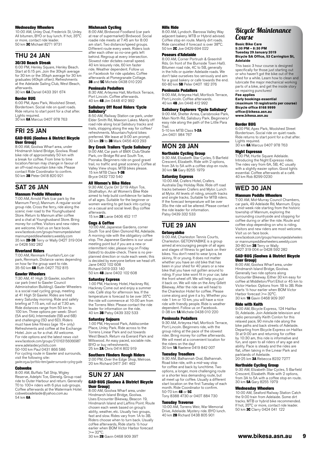#### Wednesday Wheelers

10:00 AM, Unley Oval, Frederick St, Unley. All bitumen, BYO or buy lunch. If hot, 35°C or more, contact ride leader. 50 km 3C Michael 8271 9731

# THU 24 JAN

# 30/30 Beach Streak

6:00 PM, Henley Square, Henley Beach. Start at 6:15 pm. Join the 30kph average for 30 km or the 35kph average for 30 km graduates (40kph often). Refreshments at the Adelaide Sailing Club, West Beach,

afterwards.<br>30 km **6A** Daniel 0433 391 674

#### Border BUG

6:00 PM, Apex Park, Woolshed Street, Bordertown. Social ride on quiet roads. Ride returns to start point for a chat after. Lights required. 30 km 6A Marcus 0407 978 763

# FRI 25 JAN

#### GAD-BUG (Goolwa & District Bicycle User Group)

8:00 AM, Goolwa Wharf area, under Hindmarsh Island Bridge, Goolwa. Road bike ride of approximately 50 km with a break for coffee. From time to time location/terrain may change in favour of an off-road mountain bike ride. Please contact Ride Coordinator to confirm.<br>50 km **3B** Peter 0418 820 921

# SAT 26 JAN

Mannum Peddle Wheelers 7:00 AM, Arnold Park (car park by the Mannum Ferry), Mannum. A regular social group ride. Cross the ferry, ride along the scenic river road to the Younghusband Store. Return to Mannum after coffee and a chat at Younghusband Store. Bring money for coffee. Visitors and new riders are welcome. Visit us on face book. www.facebook.com/groups/mannumpedalwheel mannumpeddlewheelers.weebly.com<br>35 km **2B-3B** Terry or Wally 0427 319 004 or 0428 592 282

#### Riverland Riders

7:00 AM, Renmark Fountain/Lion car park, Renmark. Distance varies depending on how far the group want to ride. 35-50 km 6B Ruth 0427 752 815

#### Gawler Wheelers

7:30 AM, 41 High St Gawler, southern car park (next to Gawler Council Administration Building). Gawler Wheelers is a social road cycling group, meeting at 41 High St Gawler. Rides are held every Saturday morning. Ride and safety briefing at 7:15 am, roll out at 7.30 am. Ride distances range from 50 km to 100 km. Three options per week: Short (5A and 6A), Intermediate (5B and 6B) and challenging (5D and 6D). Riders must have bike fitness (age 16+ only) Refreshments and coffee at the Exchange Hotel. Join us for a chat. All welcome. For ride options and the latest news visit www.facebook.com/groups/210163156066987 [www.adelaidecyclists.com](http://www.adelaidecyclists.com) 50-100 km Paul 0431 866 586 For cycling route in Gawler and surrounds,

visit the following site: gawler.org.au/portfolio-item/gawler-surrounds-cycling-guide

#### **Cohwebs**

8:00 AM, Buffalo Tall Ship, Wigley Reserve, Adelphi Tce, Glenelg. Group road ride to Outer Harbour and return. Generally 70 to 100+ riders with 6 plus sub-groups. Coffee afterwards at the Watermark Hotel. cobwebsadelaide@yahoo.com.au 54 km 6A

#### Mishmash Cycling

8:00 AM, Birdwood Foodland (car park at rear of supermarket) Birdwood. Social roadie ride meets at 7:45 am for 8:00 am start. Two distance/speed groups. Different route every week. Riders look after each other so no-one gets left behind. Regroup at every intersection Slowest rider dictates overall speed. 40 km leisurely ride, 60 km faster ride. Weather dependent. Follow us on Facebook for ride updates. Coffee afterwards at Pomegranate Cottage. **3B** and 5C Michele 0438 010 220

#### Peninsula Pedallers

8:30 AM, Arteyrea Hall, Mortlock Terrace, Port Lincoln. Coffee afterwards. 40 km 4B Jim 0448 412 992

# Salisbury Off Road Riders 'Cycle

**Salisbury'**<br>8:50 AM, Railway Station car park, under<br>Elder Smith Rd, Mawson Lakes. Mainly off road ride along local Salisbury tracks and trails, stopping along the way for coffee/ refreshments. Mountain/hybrid bikes preferred. We leave at 9:00 am prompt. 30 km 2B to 3B Mark 0456 403 293

#### Dry Creek Trailers 'Cycle Salisbury'

9:00 AM, Car park of BMX Club/Skate Park, cnr Bridge Rd and South Tce, Pooraka. Beginners ride on good gravel trail, no traffic and great scenery. Coffee at Valley View shops. MTB bikes please. 15 km MTB Class 1-3B Bryce 0432 732 540

#### All Women's Bike Rides

9:30 AM, Cycle On' 2/19 Albyn Tce, Strathalbyn. An all Women's Bike Ride aimed to help build confidence for ladies of all ages. Suitable for the beginner or women wanting to get back into cycling on a casual and social level. Buy coffee afterwards.

15 km 2B Lanie 0406 452 117

## Cogs & Coffee

10:00 AM, Japanese Gardens, corner South Tce and Glen Osmond Rd, Adelaide. A morning ride with the obligatory coffee stop. The Japanese Gardens is our usual meeting point but if you are a new or intermittent rider, please ring on Friday (latest) to double-check. There is no preplanned direction or route each week; this is decided by everyone before we head off. Jane 0402 102 608 Richard 0419 033 140

50 km 4B Jane 0402 102 608

#### Saturday Express

1:00 PM, Hackney Hotel, Hackney Rd, Hackney Come out and enjoy a summer ride. Café stop for afternoon tea. If the temperature is forecast to be over 35°C the ride will commence at 10:00 am from the Torrens Weir. Please contact the ride leader for information on the ride. 40 km 3B Patsy 0439 332 533

#### Saturday Sojourn

1:00 PM, Heywood Park, Addiscombe Place, Unley Park. Ride across to the Torrens Linear Park and out towards West Beach. Return via Everard Park and Millswood. An easy paced, sociable ride. BYO or buy refreshments. 25 km 2A Chris 0414 802 919

### Southern Flinders Rough Riders

2:00 PM, Over the Edge Shop, Melrose. 20 km Richard 0417 341 462

#### SUN 27 JAN GAD-BUG (Goolwa & District Bicycle User Group)

8:00 AM, Goolwa Wharf area, under Hindmarsh Island Bridge, Goolwa. Uses Encounter Bikeway, Beacon 19, Hindmarsh Island and Laffins Point. Route chosen each week based on group's ability, weather, etc. Usually two groups, fast and slow. Rides vary from 1A to 3B. Riders choose when to turn back. Usually coffee afterwards, Ride starts ½ hour earlier when BOM Victor Harbor forecast >= 32°C.

30 km 2B Gavin 0468 909 397

#### Hills Ride

8:00 AM, Lyndoch. Barossa Valley Way adjacent bakery. MTB or Hybrid advised. Coffee stop en route. Mainly dirt roads. Ride cancelled if forecast is over 38°C. 50 km 2C Joe 0429 694 022

#### Poseurs d'Adelaide

8:00 AM, Corner Portrush & Greenhill Rds. (in front of the Burnside Town Hall). Bitumen road ride, 4C to 5B, generally in the hills or quieter Adelaide roads. We don't take ourselves too seriously and aim for a good bakery or cafe towards the end. 60-80 km 5B Peter 0407 182 376

#### Peninsula Pedallers

9:00 AM, Arteyrea Hall, Mortlock Terrace, Port Lincoln. Coffee afterwards. 40 km 4B Jim 0448 412 992

#### Salisbury Explorers 'Cycle Salisbury'

9:00 AM, Shelter Arrea, Carisbrooke Park, Main North Rd, Salisbury Park. Beginners/ easy ride along the path of the Little Para Trail. 5-10 km MTB Class 1-2A

Jim 0401 984 767

## MON 28 JAN Northside Cycling Group

9:30 AM, Elizabeth Star Cycles, 5 Barfield Crescent, Elizabeth. Ride with 2 options, from 3A to 5A with a coffee stop en route. 30 km 5A Gary 8255 1979

#### Saturday Express

10:00 AM, Crafers Hotel, Crafers. Australia Day Holiday Ride. Ride off road tracks between Crafers and Mylor. Lunch at Mylor. All levels of riding, smooth tracks and single tracks. Suitable for MTB riders. If the forecast temperature will be over 35o the ride will be altered. Please contact the ride leader for information. Patsy 0439 332 533

# TUE 29 JAN

## Getonyabike

9:00 AM, Charleston Tennis Courts, Charleston. GETONYABIKE is a group aimed at encouraging people of all ages and stages of fitness to get back on their bikes. You don't need to wear lycra, be skinny, fit or young. It does not matter whether you have an old bike that has been in your shed for 40 years or a new bike that you have not gotten around to riding. If your bike wont fit in your car, take the front wheel off. We will help you put it back on. We will ride on the Amy Gillett Bikeway. After the ride we will head to the Charleston Hotel for coffee. Please come along and give it a try. Whether you ride 1 km or 10 km, you will have a nice ride with friendly people. Ride is weather dependent. Follow us on Facebook. 0-38 km 1A Michele 0438 010 220

#### Peninsula Pedallers

9:30 AM, Arteyrea Hall, Mortlock Terrace, Port Lincoln. Beginners ride, with the group riding at the pace of the slowest rider. Bring money for coffee afterwards. We will meet at a convenient location for the riders on the day!<br>30 km **1A** Raelene 0419 842 007

#### Tuesday Treadlers

9:30 AM, Balhannah Oval, Balhannah. Road bike ride, with a mid-way stop for coffee and back by lunchtime. Two options, a longer, more challenging route or a shorter less demanding route, but all meet up for coffee. Usually a different start location on the first Tuesday of each month. Ride Coordinator to confirm. 50-70 km 4B or 5C

Tony 8388 4730 or 0407 884 730

#### Tuesday Traverse

10:00 AM, Torrens Weir, War Memorial<br>Drive, Adelaide. Mystery ride. BYO lunch.<br>40 km **2B** Richard 0438 805 901

# Bicycle Maintenance Course

#### **Basic Bike Care 5:30 PM – 8:30 PM Tuesday 29 January 2019 Bicycle SA Office, 53 Carrington St, Adelaide**

This basic 3 hour course is designed specifically for those just starting out or who haven't got the bike out of the shed for a while. Learn how to clean and lubricate the major mechanical working parts of a bike, and get the inside story on repairing punctures!

# **Fee applies**

**Early bookings essential (maximum 10 registrants per course) Bicycle office 8168 9999 office@bikesa.asn.au [www.bikesa.asn.au](http://www.bikesa.asn.au)**

#### Border BUG

6:00 PM, Apex Park, Woolshed Street Bordertown. Social ride on quiet roads. Ride returns to start point for a chat after. Lights required. 30 km 6A Marcus 0407 978 763

#### Night Espresso

7:00 PM, Hurtle Square Adelaide. Introducing the Night Expresso rides. The rides vary from 6A, 5B, 4C usually with a slightly easier option. Good lights essential. Coffee afterwards at a café. 40 km Rob 8299 0230

### WED 30 JAN Mannum Peddle Wheelers

7:00 AM, Mid-Murray Council Chambers, car park, 49 Adelaide Rd, Mannum. Enjoy a mid-week ride starting from the historic township of Mannum, exploring the surrounding countryside and stopping for coffee during or after the ride. Route and coffee stop depending on who is riding. Visitors and new riders are most welcome. Visit us on face book. www.facebook.com/groups/mannumpedalwheelers or mannumpeddlewheelers.weebly.com 30-80 km 3B Terry or Wally

0427 319 004 or 0428 592 282

#### GAD-BUG (Goolwa & District Bicycle User Group)

8:00 AM, Goolwa Wharf area, under Hindmarsh Island Bridge, Goolwa. Generally two ride options along Encounter Bikeway. Either 30 km easy for coffee at Middleton/Port Elliot or 45 km to Victor Harbor. Options from 1B to 3B. Ride starts <sup>1/2</sup> hour earlier when BOM Victor Harbor forecast >= 32°C. 30 km 1B Gavin 0468 909 397

#### Ride with Keith

9:00 AM, Bicycle Express, 124 Halifax St, Adelaide. Join Adelaide television and radio personality Keith Conlon for this relaxed pace, 90 minute ride along the bike paths and back streets of Adelaide. Departing from Bicycle Express on Halifax St at 9:00 am and returning for coffee by 10:30 am, this ride is informative and fun, and open to all riders of any age and ability. Pace is steady and the rides are flat, often taking in the Linear Park and<br>parklands of Adelaide.<br>20-25 km **3A** Rebecca 8232 7277

# Northside Cycling Group

9:30 AM, Elizabeth Star Cycles, 5 Barfield Crescent, Elizabeth. Ride with 2 options, from 3A to 5A with a coffee stop en route. 30 km 5A Gary 8255 1979

### Wednesday Wheelers

10:00 AM, Seaford Railway Station Catch the 9:00 train from Adelaide. Some dirt tracks. MTB or hybrid bike recommended. If hot, 35°C or more, contact ride leader. 50 km 3C Clarry 0424 041 122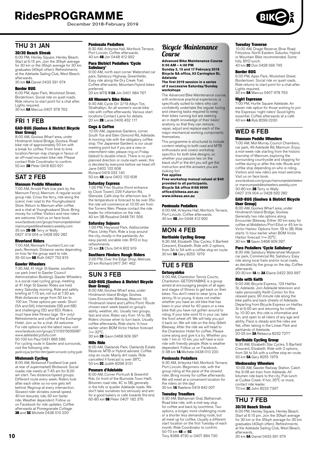December 2018-February 2019

## THU 31 JAN 30/30 Beach Streak

6:00 PM, Henley Square, Henley Beach. Start at 6:15 pm. Join the 30kph average for 30 km or the 35kph average for 30 km graduates (40kph often). Refreshments at the Adelaide Sailing Club, West Beach, afterwards.<br>30 km **6A** Daniel 0433 391 674

#### Border BUG

6:00 PM, Apex Park, Woolshed Street, Bordertown. Social ride on quiet roads. Ride returns to start point for a chat after. Lights required. 30 km 6A Marcus 0407 978 763

#### FRI 1 FEB GAD-BUG (Goolwa & District Bicycle **User Group)**

8:00 AM, Goolwa Wharf area, under Hindmarsh Island Bridge, Goolwa. Road bike ride of approximately 50 km with a break for coffee. From time to time location/terrain may change in favour of an off-road mountain bike ride. Please contact Ride Coordinator to confirm.<br>50 km **3B** Peter 0418 820 921

# SAT 2 FEB

### Mannum Peddle Wheelers

7:00 AM, Arnold Park (car park by the Mannum Ferry), Mannum. A regular social group ride. Cross the ferry, ride along the scenic river road to the Younghusband Store. Return to Mannum after coffee and a chat at Younghusband Store. Bring money for coffee. Visitors and new riders are welcome. Visit us on face book. www.facebook.com/groups/mannumpedalwheel mannumpeddlewheelers.weebly.com 35 km 2B-3B Terry or Wally 0427 319 004 or 0428 592 282

#### Riverland Riders

7:00 AM, Renmark Fountain/Lion car park, Renmark. Distance varies depending on how far the group want to ride. 35-50 km 6B Ruth 0427 752 815

#### Gawler Wheelers

7:30 AM, 41 High St Gawler, southern car park (next to Gawler Council Administration Building). Gawler Wheelers is a social road cycling group, meeting at 41 High St Gawler. Rides are held every Saturday morning. Ride and safety briefing at 7:15 am, roll out at 7.30 am. Ride distances range from 50 km to 100 km. Three options per week: Short (5A and 6A), Intermediate (5B and 6B) and challenging (5D and 6D). Riders must have bike fitness (age 16+ only) Refreshments and coffee at the Exchange Hotel. Join us for a chat. All welcome. For ride options and the latest news visit www.facebook.com/groups/210163156066987 [www.adelaidecyclists.com](http://www.adelaidecyclists.com) 50-100 km Paul 0431 866 586 For cycling route in Gawler and surrounds, visit the following site:

gawler.org.au/portfolio-item/gawler-surrounds-cycling-guide

**Mishmash Cycling**<br>8:00 AM, Birdwood Foodland (car park<br>at rear of supermarket) Birdwood. Social<br>roadie ride meets at 7:45 am for 8:00 am start. Two distance/speed groups. Different route every week. Riders look after each other so no-one gets left behind. Regroup at every intersection. Slowest rider dictates overall speed. 40 km leisurely ride, 60 km faster ride. Weather dependent. Follow us on Facebook for ride updates. Coffee afterwards at Pomegranate Cottage.<br>**3B** and **5C** Michele 0438 010 220

#### Peninsula Pedallers

8:30 AM, Arteyrea Hall, Mortlock Terrace, Port Lincoln. Coffee afterwards. 40 km 4B Jim 0448 412 992

#### Para District Pedallers 'Cycle Salisbury'

9:00 AM, north east corner Watershed car park, Salisbury Highway, Greenfields. Easy ride along the Dry Creek Trail. Coffee afterwards. Mountain/hybrid bikes preferred.

20 km MTB 1-3A Jim 0401 984 767

#### All Women's Bike Rides

9:30 AM, Cycle On' 2/19 Albyn Tce, Strathalbyn. An all women's social bike ride with coffee afterwards. Various start locations Contact Lanie for details. 20 km 2B Lanie 0406 452 117

#### Cogs & Coffee

10:00 AM, Japanese Gardens, corner South Tce and Glen Osmond Rd, Adelaide. A morning ride with the obligatory coffee stop. The Japanese Gardens is our usual meeting point but if you are a new or intermittent rider, please ring on Friday (latest) to double-check. There is no preplanned direction or route each week; this is decided by everyone before we head off. Jane 0402 102 608 Richard 0419 033 140 50 km 4B Jane 0402 102 608

#### Saturday Express

1:00 PM, Film Studios (front entrance by Clock Tower), 226 Fullarton Rd, Glenside. Café stop for afternoon tea. If the temperature is forecast to be over 35o the ride will commence at 10:00 am from the Torrens Weir. Please contact the ride leader for information on the ride. 40 km 3B Rosalind 0448 741 556

**Saturday Sojourn**<br>1:00 PM, Heywood Park, Addiscombe<br>Place, Unley Park. Ride a loop around<br>the city, mostly in the parklands. An easy paced, sociable ride. BYO or buy refreshments. 25 km 2A Chris 0414 802 919

# Southern Flinders Rough Riders

2:00 PM, Over the Edge Shop, Melrose. 20 km Richard 0417 341 462

# SUN 3 FEB

#### GAD-BUG (Goolwa & District Bicycle User Group)

8:00 AM, Goolwa Wharf area, under Hindmarsh Island Bridge, Goolwa. Uses Encounter Bikeway, Beacon 19, Hindmarsh Island and Laffins Point. Route chosen each week based on group's ability, weather, etc. Usually two groups, fast and slow. Rides vary from 1A to 3B. Riders choose when to turn back. Usually coffee afterwards, Ride starts ½ hour earlier when BOM Victor Harbor forecast  $>= 32^{\circ}C$ 

30 km **2B** Gavin 0468 909 397

#### Hills Ride

8:00 AM, Oaklands Park. Oaklands Estate Reserve. MTB or Hybrid advised. Coffee stop en route. Mainly dirt roads. Ride cancelled if forecast is over 38°C. 50 km 2C Judith 8298 3131

#### Poseurs d'Adelaide

8:00 AM, Corner Portrush & Greenhill Rds. (in front of the Burnside Town Hall). Bitumen road ride, 4C to 5B, generally in the hills or quieter Adelaide roads. We don't take ourselves too seriously and aim for a good bakery or cafe towards the end. 60-80 km 5B Peter 0407 182 376

# Bicycle Maintenance Course

**Advanced Bike Maintenance Course 9:00 AM – 4:00 PM Sunday 3, 10 and 17 February 2019**

#### **Bicycle SA office, 53 Carrington St, Adelaide The first 2019 session in a series**

#### **of 2 successive Saturday/Sunday workshops**

The Advanced Bike Maintenance course, with extensive practical experience, is specifically suited to riders who can confidently undertake the regular tuning and cleaning tasks required to keep their bikes running but are seeking an in depth knowledge of their bikes' anatomy so that they can remove, repair, adjust and replace each of the major mechanical working components themselves.

This programme is structured to include content relating to both road and MTB enthusiasts and covers workshop specifics for both bike designs, so whether your passion lies on the black stuff or the dirt you will get the instruction and the answers you are looking for!

#### **Fee applies**

**Free workshop manual valued at \$40 provided to all participants. Bicycle SA office 8168 9999 office@bikesa.asn.au www.bikesa.asn.au**

#### Peninsula Pedallers

9:00 AM, Arteyrea Hall, Mortlock Terrace, Port Lincoln. Coffee afterwards. 40 km 4B Jim 0448 412 992

## MON 4 FEB Northside Cycling Group

9:30 AM, Elizabeth Star Cycles, 5 Barfield Crescent, Elizabeth. Ride with 2 options, from 3A to 5A with a coffee stop en route.<br>30 km **5A** Gary 8255 1979

# TUE 5 FEB

#### Getonyabike

9:00 AM, Charleston Tennis Courts, Stoo Am, Charleston. Commo Soc. C, Charleston. GETONYABIKE is a group aimed at encouraging people of all ages and stages of fitness to get back on their bikes. You don't need to wear lycra, be skinny, fit or young. It does not matter whether you have an old bike that has been in your shed for 40 years or a new bike that you have not gotten around to riding. If your bike wont fit in your car, take the front wheel off. We will help you put it back on. We will ride on the Amy Gillett Bikeway. After the ride we will head to the Charleston Hotel for coffee. Please come along and give it a try. Whether you ride 1 km or 10 km, you will have a nice ride with friendly people. Ride is weather dependent. Follow us on Facebook. 0-38 km 1A Michele 0438 010 220

#### Peninsula Pedallers

9:30 AM, Arteyrea Hall, Mortlock Terrace, Port Lincoln. Beginners ride, with the group riding at the pace of the slowest group manng at the pace of the chemical We will meet at a convenient location for the riders on the day! 30 km 1A Raelene 0419 842 007

#### Tuesday Treadlers

9:30 AM, Balhannah Oval, Balhannah. Road bike ride, with a mid-way stop for coffee and back by lunchtime. Two options, a longer, more challenging route or a shorter less demanding route, but all meet up for coffee. Usually a different start location on the first Tuesday of each month. Ride Coordinator to confirm. 50-70 km 4B or 5C

Tony 8388 4730 or 0407 884 730

#### Tuesday Traverse

10:00 AM, Drage Reserve, Briar Road. Felixstow. North Eastern Suburbs. Hybrid or Mountain Bike recommended. Some hills. BYO lunch.

40 km 2C Don 0428 566 745

Border BUG 6:00 PM, Apex Park, Woolshed Street, Bordertown. Social ride on quiet roads. Ride returns to start point for a chat after. Lights required.

30 km 6A Marcus 0407 978 763

#### Night Espresso

7:00 PM, Hurtle Square Adelaide. An easier ride option for those wishing to join the Espresso 'night riders' Good lights essential. Coffee afterwards at a café 40 km 4A Rob 8299 0230

### WED 6 FEB Mannum Peddle Wheelers

7:00 AM, Mid-Murray Council Chambers, car park, 49 Adelaide Rd, Mannum. Enjoy a mid-week ride starting from the historic township of Mannum, exploring the surrounding countryside and stopping for coffee during or after the ride. Route and coffee stop depending on who is riding. Visitors and new riders are most welcome. Visit us on face book. www.facebook.com/groups/mannumpedalwheelers or mannumpeddlewheelers.weebly.com

30-80 km 3B Terry or Wally 0427 319 004 or 0428 592 282

#### GAD-BUG (Goolwa & District Bicycle User Group)

8:00 AM, Goolwa Wharf area, under Hindmarsh Island Bridge, Goolwa. Generally two ride options along Encounter Bikeway. Either 30 km easy for coffee at Middleton/Port Elliot or 45 km to Victor Harbor. Options from 1B to 3B. Ride starts ½ hour earlier when BOM Victor Harbor forecast >= 32°C. 30 km 1B Gavin 0468 909 397

#### Para Pedallers 'Cycle Salisbury'

8:30 AM, Salisbury Waterwheel Museum car park, Commercial Rd, Salisbury. Easy ride along local trails and/or local roads, as decided by the group on the day. Coffee afterwards.

20-30 km 1A to 3A Elaine 0422 393 997 Ride with Keith

9:00 AM, Bicycle Express, 124 Halifax St, Adelaide. Join Adelaide television and radio personality Keith Conlon for this relaxed pace, 90 minute ride along the bike paths and back streets of Adelaide. Departing from Bicycle Express on Halifax St at 9:00 am and returning for coffee by 10:30 am, this ride is informative and fun, and open to all riders of any age and ability. Pace is steady and the rides are flat, often taking in the Linear Park and parklands of Adelaide. 20-25 km 3A Rebecca 8232 7277

#### Northside Cycling Group

9:30 AM, Elizabeth Star Cycles, 5 Barfield Crescent, Elizabeth. Ride with 2 options, from 3A to 5A with a coffee stop en route. 30 km 5A Gary 8255 1979

Wednesday Wheelers<br>10:00 AM, Gawler Railway Station. Catch the 9:08 am train from Adelaide. All bitumen ride back to the city. Pub lunch at Cudlee Creek. If hot, 35°C or more, contact ride leader. 70 km 3C John 8223 7397

# THU 7 FEB

## 30/30 Beach Streak

6:00 PM, Henley Square, Henley Beach. Start at 6:15 pm. Join the 30kph average for 30 km or the 35kph average for 30 km graduates (40kph often). Refreshments at the Adelaide Sailing Club, West Beach, afterwards. 30 km 6A Daniel 0433 391 674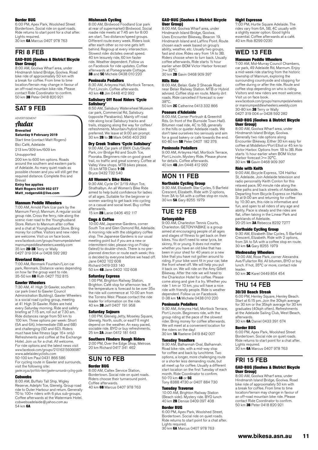#### Border BUG

6:00 PM, Apex Park, Woolshed Street Bordertown. Social ride on quiet roads. Ride returns to start point for a chat after. Lights required.<br>30 km **6A** Marcus 0407 978 763

## FRI 8 FEB

#### GAD-BUG (Goolwa & District Bicycle User Group)

8:00 AM, Goolwa Wharf area, under Hindmarsh Island Bridge, Goolwa. Road bike ride of approximately 50 km with a break for coffee. From time to time location/terrain may change in favour of an off-road mountain bike ride. Please contact Ride Coordinator to confirm. 50 km 3B Peter 0418 820 921

# SAT 9 FEB

ADVERTISEMENT

# Audax

# **Brevailed**

**Saturday 9 February 2019** Start time (contact Matt Rogers) Bici Café, Adelaide

213 km/309 km/609 km Unsupported 200 km to 600 km options. Roads

around the southern and eastern parts of Adelaide. As many quiet roads as possible chosen and you will still get the required distance. Complete this and **Brevail** 

#### **Entry fee applies**

**Matt Rogers 0439 952 077 Matt\_rodgers68@live.com**

#### Mannum Peddle Wheelers

7:00 AM, Arnold Park (car park by the Mannum Ferry), Mannum. A regular social group ride. Cross the ferry, ride along the scenic river road to the Younghusband Store. Return to Mannum after coffee and a chat at Younghusband Store. Bring money for coffee. Visitors and new riders are welcome. Visit us on face book. www.facebook.com/groups/mannumpedalwheel mannumpeddlewheelers.weebly.com 35 km **2B-3B** Terry or Wally<br>0427 319 004 or 0428 592 282

#### Riverland Riders

7:00 AM, Renmark Fountain/Lion car park, Renmark. Distance varies depending on how far the group want to ride.<br>35-50 km **6B** Ruth 0427 752 815

#### Gawler Wheelers

7:30 AM, 41 High St Gawler, southern car park (next to Gawler Council Administration Building). Gawler Wheelers is a social road cycling group, meeting at 41 High St Gawler. Rides are held every Saturday morning. Ride and safety briefing at 7:15 am, roll out at 7.30 am. Ride distances range from 50 km to 100 km. Three options per week: Short (5A and 6A), Intermediate (5B and 6B) and challenging (5D and 6D). Riders must have bike fitness (age 16+ only) Refreshments and coffee at the Exchange Hotel. Join us for a chat. All welcome. For ride options and the latest news visit www.facebook.com/groups/210163156066987 [www.adelaidecyclists.com](http://www.adelaidecyclists.com)

50-100 km Paul 0431 866 586 For cycling route in Gawler and surrounds, visit the following site: gawler.org.au/portfolio-item/gawler-surrounds-cycling-guide

#### Cobwebs

8:00 AM, Buffalo Tall Ship, Wigley Reserve, Adelphi Tce, Glenelg. Group road ride to Outer Harbour and return. Generally 70 to 100+ riders with 6 plus sub-groups. Coffee afterwards at the Watermark Hotel. cobwebsadelaide@yahoo.com.au 54 km 6A

#### Mishmash Cycling

8:00 AM, Birdwood Foodland (car park at rear of supermarket) Birdwood. Social roadie ride meets at 7:45 am for 8:00 am start. Two distance/speed groups. Different route every week. Riders look after each other so no-one gets left behind. Regroup at every intersection. Slowest rider dictates overall speed. 40 km leisurely ride, 60 km faster ride. Weather dependent. Follow us on Facebook for ride updates. Coffee afterwards at Pomegranate Cottage. **3B** and 5C Michele 0438 010 220

#### Peninsula Pedallers

8:30 AM, Arteyrea Hall, Mortlock Terrace, Port Lincoln. Coffee afterwards. 40 km 4B Jim 0448 412 992

#### Salisbury Off Road Riders 'Cycle Salisbury'

8:50 AM, Salisbury Waterwheel Museum car park, Commercial Rd, Salisbury. (opposite Parabanks). Mainly off road ride along local Salisbury tracks and trails, stopping along the way for coffee/ refreshments. Mountain/hybrid bikes preferred. We leave at 9:00 am prompt. 30 km 2B to 3B Mark 0456 403 293

#### Dry Creek Trailers 'Cycle Salisbury'

9:00 AM, Car park of BMX Club/Skate Park, cnr Bridge Rd and South Tce, Pooraka. Beginners ride on good gravel trail, no traffic and great scenery. Coffee at Valley View shops. MTB bikes please. 15 km MTB Class  $1-3B$ Bryce 0432 732 540

#### All Women's Bike Rides

9:30 AM, Cycle On' 2/19 Albyn Tce, Strathalbyn. An all Women's Bike Ride aimed to help build confidence for ladies of all ages. Suitable for the beginner or women wanting to get back into cycling on a casual and social level. Buy coffee afterwards.

15 km 2B Lanie 0406 452 117

#### Cogs & Coffee

10:00 AM, Japanese Gardens, corner South Tce and Glen Osmond Rd, Adelaide. A morning ride with the obligatory coffee stop. The Japanese Gardens is our usual meeting point but if you are a new or intermittent rider, please ring on Friday (latest) to double-check. There is no preplanned direction or route each week; this is decided by everyone before we head off. Jane 0402 102 608 Richard 0419 033 140 50 km 4B Jane 0402 102 608

#### Saturday Express

1:00 PM, Brighton Railway Station, Brighton. Café stop for afternoon tea. If the temperature is forecast to be over 35o the ride will commence at 10:00 am from the Torrens Weir. Please contact the ride leader for information on the ride. 40 km 3B Jeff 0407 191 958

#### Saturday Sojourn

1:00 PM, Glenelg Jetty, Moseley Square, Glenelg. North, south, or east? It might depend on the weather. An easy paced, sociable ride. BYO or buy refreshments. 25 km 2A Joan 0412 181 643

### Southern Flinders Rough Riders

2:00 PM, Over the Edge Shop, Melrose. 20 km Richard 0417 341 462

# SUN 10 FEB

#### Border BUG

8:00 AM, Caltex Service Station, Bordertown. Social ride on quiet roads. Riders choose their turnaround point. Coffee afterwards.

40 km 6B Marcus 0407 978 763

#### GAD-BUG (Goolwa & District Bicycle User Group)

8:00 AM, Goolwa Wharf area, under Hindmarsh Island Bridge, Goolwa. Uses Encounter Bikeway, Beacon 19, Hindmarsh Island and Laffins Point. Route chosen each week based on group's ability, weather, etc. Usually two groups, fast and slow. Rides vary from 1A to 3B. Riders choose when to turn back. Usually coffee afterwards, Ride starts ½ hour earlier when BOM Victor Harbor forecast  $>= 30^{\circ}C$ 30 km 2B Gavin 0468 909 397

## Hills Ride

8:00 AM, Belair. Gate 2 Sheoak Road near Belair Railway Station. MTB or Hybrid advised. Coffee stop en route. Mainly dirt roads. Ride cancelled if forecast is over 38°C.

50 km 2C Catherine 0413 332 866

#### Poseurs d'Adelaide

8:00 AM, Corner Portrush & Greenhill Rds. (in front of the Burnside Town Hall). Bitumen road ride, 4C to 5B, generally in the hills or quieter Adelaide roads. We don't take ourselves too seriously and aim for a good bakery or cafe towards the end. 60-80 km **5B** Peter 0407 182 376

#### Peninsula Pedallers

9:00 AM, Arteyrea Hall, Mortlock Terrace, Port Lincoln. Mystery Ride. Please phone for details. Coffee afterwards. 40 km 4B Jim 0448 412 992

# MON 11 FEB

Northside Cycling Group 9:30 AM, Elizabeth Star Cycles, 5 Barfield Crescent, Elizabeth. Ride with 2 options,

from 3A to 5A with a coffee stop en route. 30 km 5A Gary 8255 1979

### TUE 12 FEB **Getonyabike**

9:00 AM, Charleston Tennis Courts, Charleston. GETONYABIKE is a group aimed at encouraging people of all ages and stages of fitness to get back on their bikes. You don't need to wear lycra, be skinny, fit or young. It does not matter whether you have an old bike that has been in your shed for 40 years or a new bike that you have not gotten around to riding. If your bike wont fit in your car, take the front wheel off. We will help you put it back on. We will ride on the Amy Gillett Bikeway. After the ride we will head to the Charleston Hotel for coffee. Please come along and give it a try. Whether you ride 1 km or 10 km, you will have a nice ride with friendly people. Ride is weather dependent. Follow us on Facebook. 0-38 km 1A Michele 0438 010 220

#### Peninsula Pedallers

9:30 AM, Arteyrea Hall, Mortlock Terrace, Port Lincoln. Beginners ride, with the group riding at the pace of the slowest rider. Bring money for coffee afterwards. We will meet at a convenient location for the riders on the day!<br>30 km **1A** Raelene 0419 842 007

#### Tuesday Treadlers

9:30 AM, Balhannah Oval, Balhannah. Road bike ride, with a mid-way stop for coffee and back by lunchtime. Two options, a longer, more challenging route or a shorter less demanding route, but all meet up for coffee. Usually a different start location on the first Tuesday of each month. Ride Coordinator to confirm. 50-70 km **4B** or 5C

#### Tony 8388 4730 or 0407 884 730

#### Tuesday Traverse

10:00 AM, Brighton Railway Station (Beach side). Mystery ride. BYO lunch 40 km 2B Denise 0409 097 408

#### Border BUG

6:00 PM, Apex Park, Woolshed Street, Bordertown. Social ride on quiet roads. Ride returns to start point for a chat after. Lights required.

30 km 6A Marcus 0407 978 763

#### Night Espresso

7:00 PM, Hurtle Square Adelaide. The rides vary from 6A, 5B, 4C usually with a slightly easier option. Good lights essential. Coffee afterwards at a café. 40 km Rob 8299 0230

# WED 13 FEB

#### Mannum Peddle Wheelers

7:00 AM, Mid-Murray Council Chambers, car park, 49 Adelaide Rd, Mannum. Enjoy a mid-week ride starting from the historic township of Mannum, exploring the surrounding countryside and stopping for coffee during or after the ride. Route and coffee stop depending on who is riding. Visitors and new riders are most welcome. Visit us on face book.

www.facebook.com/groups/mannumpedalwheelers or mannumpeddlewheelers.weebly.com 30-80 km **3B** Terry or Wally 0427 319 004 or 0428 592 282

#### GAD-BUG (Goolwa & District Bicycle User Group)

8:00 AM, Goolwa Wharf area, under Hindmarsh Island Bridge, Goolwa. Generally two ride options along Encounter Bikeway. Either 30 km easy for coffee at Middleton/Port Elliot or 45 km to Victor Harbor. Options from 1B to 3B. Ride starts ½ hour earlier when BOM Victor Harbor forecast >= 32°C. 30 km 1B Gavin 0468 909 397

#### Ride with Keith

9:00 AM, Bicycle Express, 124 Halifax St, Adelaide. Join Adelaide television and radio personality Keith Conlon for this relaxed pace, 90 minute ride along the bike paths and back streets of Adelaide. Departing from Bicycle Express on Halifax St at 9:00 am and returning for coffee by 10:30 am, this ride is informative and fun, and open to all riders of any age and ability. Pace is steady and the rides are flat, often taking in the Linear Park and parklands of Adelaide. 20-25 km 3A Rebecca 8232 7277

#### Northside Cycling Group

9:30 AM, Elizabeth Star Cycles, 5 Barfield Crescent, Elizabeth. Ride with 2 options, from 3A to 5A with a coffee stop en route. 30 km 5A Gary 8255 1979

Wednesday Wheelers<br>10:00 AM, Rose Park, corner Alexandra Ave/Fullarton Rd. All bitumen, BYO or buy lunch. If hot, 35°C or more, contact ride leader. 50 km 3C Karel 0449 854 454

# THU 14 FEB

### 30/30 Beach Streak

6:00 PM, Henley Square, Henley Beach. Start at 6:15 pm. Join the 30kph average for 30 km or the 35kph average for 30 km graduates (40kph often). Refreshments at the Adelaide Sailing Club, West Beach, afterwards.

30 km 6A Daniel 0433 391 674

#### Border BUG

6:00 PM, Apex Park, Woolshed Street Bordertown. Social ride on quiet roads. Ride returns to start point for a chat after. Lights required. 30 km 6A Marcus 0407 978 763

## FRI 15 FEB

#### GAD-BUG (Goolwa & District Bicycle User Group)

8:00 AM, Goolwa Wharf area, under Hindmarsh Island Bridge, Goolwa. Road bike ride of approximately 50 km with a break for coffee. From time to time location/terrain may change in favour of an off-road mountain bike ride. Please contact Ride Coordinator to confirm. 50 km 3B Peter 0418 820 921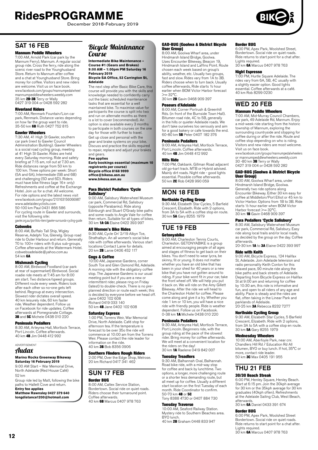December 2018-February 2019



# SAT 16 FFR

## Mannum Peddle Wheelers

7:00 AM, Arnold Park (car park by the Mannum Ferry), Mannum. A regular social group ride. Cross the ferry, ride along the scenic river road to the Younghusband Store. Return to Mannum after coffee and a chat at Younghusband Store. Bring money for coffee. Visitors and new riders are welcome. Visit us on face book. www.facebook.com/groups/mannumpedalwheel mannumpeddlewheelers.weebly.com 35 km 2B-3B Terry or Wally 0427 319 004 or 0428 592 282

#### Riverland Riders

7:00 AM, Renmark Fountain/Lion car park, Renmark. Distance varies depending on how far the group want to ride.<br>35-50 km **6B** Ruth 0427 752 815

#### Gawler Wheelers

7:30 AM, 41 High St Gawler, southern car park (next to Gawler Council Administration Building). Gawler Wheelers is a social road cycling group, meeting at 41 High St Gawler. Rides are held every Saturday morning. Ride and safety briefing at 7:15 am, roll out at 7.30 am. Ride distances range from 50 km to 100 km. Three options per week: Short (5A and 6A), Intermediate (5B and 6B) and challenging (5D and 6D). Riders must have bike fitness (age 16+ only) Refreshments and coffee at the Exchange Hotel. Join us for a chat. All welcome. For ride options and the latest news visit www.facebook.com/groups/210163156066987

[www.adelaidecyclists.com](http://www.adelaidecyclists.com) 50-100 km Paul 0431 866 586 For cycling route in Gawler and surrounds, visit the following site: gawler.org.au/portfolio-item/gawler-surrounds-cycling-guide

#### **Cobwebs**

8:00 AM, Buffalo Tall Ship, Wigley Reserve, Adelphi Tce, Glenelg. Group road ride to Outer Harbour and return. Generally 70 to 100+ riders with 6 plus sub-groups. Coffee afterwards at the Watermark Hotel. cobwebsadelaide@yahoo.com.au 54 km 6A

**Mishmash Cycling**<br>8:00 AM, Birdwood Foodland (car park at rear of supermarket) Birdwood. Social roadie ride meets at 7:45 am for 8:00 am start. Two distance/speed groups. Different route every week. Riders look after each other so no-one gets left behind. Regroup at every intersection. Slowest rider dictates overall speed. 40 km leisurely ride, 60 km faster ride. Weather dependent. Follow us on Facebook for ride updates. Coffee afterwards at Pomegranate Cottage.<br>**3B** and **5C** Michele 0438 010 220

#### Peninsula Pedallers

8:30 AM, Arteyrea Hall, Mortlock Terrace, Port Lincoln. Coffee afterwards. 40 km 4B Jim 0448 412 992

ADVERTISEMENT

# Audax

**Marino Rocks Greenway Bikeway Saturday 16 February 2019** 9:00 AM Start – War Memorial Drive,

North Adelaide (Red House Café) 52 km

Group ride led by Matt, following the bike paths to Hallett Cove and return. **Entry fee applies**

**Matthew Rawnsley 0427 379 640 longdistance1200@hotmail.com**

## Bicycle Maintenance Course

#### **Intermediate Bike Maintenance – Course #1 (Gears and Brakes) 9:00 AM – 1:00pm PM Saturday 16 February 2019 Bicycle SA Office, 53 Carrington St,**

# **Adelaide**

The next step after Basic Bike Care, this course will provide you with the skills and knowledge needed to confidently carry out the basic scheduled maintenance tasks that are essential for a well maintained bike. To maximise value for participants the course is split into two and run on alternate months as there is a lot to cover (recommended). An option is also available every 3 months to participate in both courses on the one day for those with further to travel. Get up close and personal with the gear and brake systems on your bike. Discuss and practice the skills required to repair, replace and adjust your brakes and gears.

**Fee applies Early bookings essential (maximum 10 registrants per course) Bicycle office 8168 9999 office@bikesa.asn.au www.bikesa.asn.au**

#### Para District Pedallers 'Cycle Salisbury'

9:00 AM, Salisbury Waterwheel Museum car park, Commercial Rd, Salisbury (opposite Parabanks). Ride along Edinburgh and Stuart O'Grady bike paths and some roads to Angle Vale for coffee then return. Suitable for all types of bikes. 30 km 1A-3A Elaine 0422 393 997

#### All Women's Bike Rides

9:30 AM, Cycle On' 2/19 Albyn Tce, Strathalbyn. An all women's social bike ride with coffee afterwards. Various start locations Contact Lanie for details. 20 km 2B Lanie 0406 452 117

#### **Coas & Coffee**

10:00 AM, Japanese Gardens, corner South Tce and Glen Osmond Rd, Adelaide. A morning ride with the obligatory coffee stop. The Japanese Gardens is our usual meeting point but if you are a new or intermittent rider, please ring on Friday (latest) to double-check. There is no preplanned direction or route each week; this is decided by everyone before we head off. Jane 0402 102 608 Richard 0419 033 140 50 km 4B Jane 0402 102 608

#### Saturday Express

1:00 PM, Torrens Weir, War Memorial Drive, North Adelaide. Café stop for afternoon tea. If the temperature is forecast to be over 35o the ride will commence at 10:00 am from the Torrens Weir. Please contact the ride leader for information on the ride. 40 km 3B Bob 8356 0906

## Southern Flinders Rough Riders

2:00 PM, Over the Edge Shop, Melrose. 20 km Richard 0417 341 462

### SUN 17 FEB Border BUG

8:00 AM, Caltex Service Station, Bordertown. Social ride on quiet roads. Riders choose their turnaround point. Coffee afterwards. 40 km 6B Marcus 0407 978 763

#### GAD-BUG (Goolwa & District Bicycle User Group)

8:00 AM, Goolwa Wharf area, under Hindmarsh Island Bridge, Goolwa. Uses Encounter Bikeway, Beacon 19, Hindmarsh Island and Laffins Point. Route chosen each week based on group's ability, weather, etc. Usually two groups, fast and slow. Rides vary from 1A to 3B. Riders choose when to turn back. Usually coffee afterwards, Ride starts ½ hour earlier when BOM Victor Harbor forecast  $>= 32^{\circ}C$ 

30 km 2B Gavin 0468 909 397

### Poseurs d'Adelaide

8:00 AM, Corner Portrush & Greenhill Rds. (in front of the Burnside Town Hall). Bitumen road ride, 4C to 5B, generally in the hills or quieter Adelaide roads. We don't take ourselves too seriously and aim for a good bakery or cafe towards the end. 60-80 km 5B Peter 0407 182 376

#### Peninsula Pedallers

9:00 AM, Arteyrea Hall, Mortlock Terrace, Port Lincoln. Coffee afterwards. 40 km 4B Jim 0448 412 992

#### Hills Ride

7:00 PM, Oakbank. Gillman Road adjacent old go-kart track. MTB or Hybrid advised. Mainly dirt roads. Night ride - good lights essential. Possible coffee afterwards.<br>50 km **2C** Rob 0428 990 059

# MON 18 FEB Northside Cycling Group

9:30 AM, Elizabeth Star Cycles, 5 Barfield Crescent, Elizabeth. Ride with 2 options, from 3A to 5A with a coffee stop en route.<br>30 km **5A** Gary 8255 1979

# TUE 19 FEB

#### **Getonyabike**

9:00 AM, Charleston Tennis Courts, Charleston. GETONYABIKE is a group aimed at encouraging people of all ages and stages of fitness to get back on their bikes. You don't need to wear lycra, be skinny, fit or young. It does not matter whether you have an old bike that has been in your shed for 40 years or a new bike that you have not gotten around to riding. If your bike wont fit in your car, take the front wheel off. We will help you put it back on. We will ride on the Amy Gillett Bikeway. After the ride we will head to the Charleston Hotel for coffee. Please come along and give it a try. Whether you ride 1 km or 10 km, you will have a nice ride with friendly people. Ride is weather dependent. Follow us on Facebook. 0-38 km 1A Michele 0438 010 220

#### Peninsula Pedallers

9:30 AM, Arteyrea Hall, Mortlock Terrace, Port Lincoln. Beginners ride, with the group riding at the pace of the slowest group maing at the pace of the cience. We will meet at a convenient location for the riders on the day!<br>30 km **1A** Raelene 0419 842 007

#### Tuesday Treadlers

9:30 AM, Balhannah Oval, Balhannah. Road bike ride, with a mid-way stop for coffee and back by lunchtime. Two options, a longer, more challenging route or a shorter less demanding route, but all meet up for coffee. Usually a different start location on the first Tuesday of each month. Ride Coordinator to confirm. 50-70 km 4B or 5C Tony 8388 4730 or 0407 884 730

# **Tuesday Traverse**<br>10:00 AM, Seaford Railway Station.<br>Mystery ride to Southern Beaches area.

40 km 2B Graham 0448 833 947

BYO lunch.

Border BUG

6:00 PM, Apex Park, Woolshed Street, Bordertown. Social ride on quiet roads. Ride returns to start point for a chat after. Lights required. 30 km 6A Marcus 0407 978 763

# Night Espresso

7:00 PM, Hurtle Square Adelaide. The rides vary from 6A, 5B, 4C usually with a slightly easier option. Good lights essential. Coffee afterwards at a café. 40 km Rob 8299 0230

# WED 20 FEB

#### Mannum Peddle Wheelers

7:00 AM, Mid-Murray Council Chambers, car park, 49 Adelaide Rd, Mannum. Enjoy a mid-week ride starting from the historic township of Mannum, exploring the surrounding countryside and stopping for coffee during or after the ride. Route and coffee stop depending on who is riding. Visitors and new riders are most welcome. Visit us on face book.

www.facebook.com/groups/mannumpedalwheelers or mannumpeddlewheelers.weebly.com<br>30 -80 km 3B Terry or Wally 0427 319 004 or 0428 592 282

#### GAD-BUG (Goolwa & District Bicycle User Group)

8:00 AM, Goolwa Wharf area, under Hindmarsh Island Bridge, Goolwa. Generally two ride options along Encounter Bikeway. Either 30 km easy for coffee at Middleton/Port Elliot or 45 km to Victor Harbor. Options from 1B to 3B. Ride starts ½ hour earlier when BOM Victor Harbor forecast >= 32°C.<br>30 km **1B** Gavin 0468 909 397

#### Para Pedallers 'Cycle Salisbury'

8:30 AM, Salisbury Waterwheel Museum car park, Commercial Rd, Salisbury. Easy ride along local trails and/or local roads, as decided by the group on the day. Coffee afterwards.

# 20-30 km **1A** to **3A** Elaine 0422 393 997

#### Ride with Keith

9:00 AM, Bicycle Express, 124 Halifax St, Adelaide. Join Adelaide television and radio personality Keith Conlon for this relaxed pace, 90 minute ride along the bike paths and back streets of Adelaide. Departing from Bicycle Express on Halifax St at 9:00 am and returning for coffee by 10:30 am, this ride is informative and fun, and open to all riders of any age and ability. Pace is steady and the rides are flat, often taking in the Linear Park and parklands of Adelaide. 20-25 km 3A Rebecca 8232 7277

# Northside Cycling Group

9:30 AM, Elizabeth Star Cycles, 5 Barfield Crescent, Elizabeth. Ride with 2 options, from 3A to 5A with a coffee stop en route. 30 km 5A Gary 8255 1979

#### Wednesday Wheelers

10:00 AM, Aberfoyle Park, near cnr. Chandlers Hill Rd / Education Rd All bitumen, BYO or buy lunch. If hot, 35°C or more, contact ride leader. 50 km 3C Max 0405 191 955

# THU 21 FEB

#### 30/30 Beach Streak

6:00 PM, Henley Square, Henley Beach. Start at 6:15 pm. Join the 30kph average for 30 km or the 35kph average for 30 km graduates (40kph often). Refreshments at the Adelaide Sailing Club, West Beach, afterwards.

30 km 6A Daniel 0433 391 674

#### Border BUG

6:00 PM, Apex Park, Woolshed Street Bordertown. Social ride on quiet roads. Ride returns to start point for a chat after. Lights required.<br>30 km **6A** Marcus 0407 978 763

**12**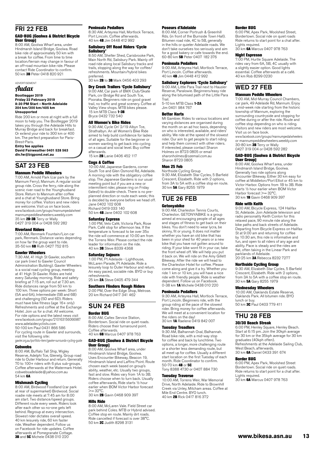# FRI 22 FEB

#### GAD-BUG (Goolwa & District Bicycle User Group)

8:00 AM, Goolwa Wharf area, under Hindmarsh Island Bridge, Goolwa. Road bike ride of approximately 50 km with a break for coffee. From time to time location/terrain may change in favour of an off-road mountain bike ride. Please contact Ride Coordinator to confirm.<br>50 km **3B** Peter 0418 820 921

ADVERTISEMENT Audax

#### **Bootlegger 2019 Friday 22 February 2019 8:30 PM Start – North Adelaide 204 km/300 km/405 km Unsupported**

Ride 200 km or more at night with a full moon to help you. The Bootlegger 2019 takes you through the Adelaide Hills to Murray Bridge and back for breakfast. Or extend your ride to 300 km or 400 km. The perfect preparation for Paris-Brest-Paris.

**Entry fee applies David Fairweather 0401 528 563 div.fw@bigpond.net.au**

# SAT 23 FEB

#### Mannum Peddle Wheelers

7:00 AM, Arnold Park (car park by the Mannum Ferry), Mannum. A regular social group ride. Cross the ferry, ride along the scenic river road to the Younghusband Store. Return to Mannum after coffee and a chat at Younghusband Store. Bring money for coffee. Visitors and new riders are welcome. Visit us on face book. www.facebook.com/groups/mannumpedalwheel mannumpeddlewheelers.weebly.com 35 km **2B-3B** Terry or Wally<br>0427 319 004 or 0428 592 282

#### Riverland Riders

7:00 AM, Renmark Fountain/Lion car park, Renmark. Distance varies depending on how far the group want to ride.<br>35-50 km **6B** Ruth 0427 752 815

#### Gawler Wheelers

7:30 AM, 41 High St Gawler, southern car park (next to Gawler Council Administration Building). Gawler Wheelers is a social road cycling group, meeting at 41 High St Gawler. Rides are held every Saturday morning. Ride and safety briefing at 7:15 am, roll out at 7.30 am. Ride distances range from 50 km to 100 km. Three options per week: Short (5A and 6A), Intermediate (5B and 6B) and challenging (5D and 6D). Riders must have bike fitness (age 16+ only) Refreshments and coffee at the Exchange Hotel. Join us for a chat. All welcome. For ride options and the latest news visit www.facebook.com/groups/210163156066987 [www.adelaidecyclists.com](http://www.adelaidecyclists.com) 50-100 km Paul 0431 866 586

For cycling route in Gawler and surrounds, visit the following site: gawler.org.au/portfolio-item/gawler-surrounds-cycling-guide

#### **Cobwebs**

8:00 AM, Buffalo Tall Ship, Wigley Reserve, Adelphi Tce, Glenelg. Group road ride to Outer Harbour and return. Generally 70 to 100+ riders with 6 plus sub-groups. Coffee afterwards at the Watermark Hotel. cobwebsadelaide@yahoo.com.au 54 km 6A

**Mishmash Cycling**<br>8:00 AM, Birdwood Foodland (car park at rear of supermarket) Birdwood. Social roadie ride meets at 7:45 am for 8:00 am start. Two distance/speed groups. Different route every week. Riders look after each other so no-one gets left behind. Regroup at every intersection. Slowest rider dictates overall speed. 40 km leisurely ride, 60 km faster ride. Weather dependent. Follow us on Facebook for ride updates. Coffee afterwards at Pomegranate Cottage.<br>**3B** and **5C** Michele 0438 010 220

#### Peninsula Pedallers

8:30 AM, Arteyrea Hall, Mortlock Terrace, Port Lincoln. Coffee afterwards. 40 km 4B Jim 0448 412 992

#### Salisbury Off Road Riders 'Cycle Salisbury'

8:50 AM, Shelter Shed, Carisbrooke Park, Main North Rd, Salisbury Park. Mainly off road ride along local Salisbury tracks and trails, stopping along the way for coffee/ refreshments. Mountain/hybrid bikes preferred.

30 km **2B** to 3B Mark 0456 403 293

#### Dry Creek Trailers 'Cycle Salisbury'

9:00 AM, Car park of BMX Club/Skate Park, cnr Bridge Rd and South Tce, Pooraka. Beginners ride on good gravel trail, no traffic and great scenery. Coffee at Valley View shops. MTB bikes please. 15 km MTB Class 1-3B Bryce 0432 732 540

#### All Women's Bike Rides

9:30 AM, Cycle On' 2/19 Albyn Tce, Strathalbyn. An all Women's Bike Ride aimed to help build confidence for ladies of all ages. Suitable for the beginner or women wanting to get back into cycling on a casual and social level. Buy coffee afterwards.

15 km **2B** Lanie 0406 452 117

#### **Coas & Coffee**

10:00 AM, Japanese Gardens, corner South Tce and Glen Osmond Rd, Adelaide. A morning ride with the obligatory coffee stop. The Japanese Gardens is our usual meeting point but if you are a new or intermittent rider, please ring on Friday (latest) to double-check. There is no preplanned direction or route each week; this is decided by everyone before we head off. Jane 0402 102 608 Richard 0419 033 140

50 km 4B Jane 0402 102 608

#### Saturday Express

1:00 PM, Velo Café, Victoria Park, Rose Park. Café stop for afternoon tea. If the temperature is forecast to be over 35o the ride will commence at 10:00 am from the Torrens Weir. Please contact the ride leader for information on the ride. 40 km 3B Steve 8339 4368

#### Saturday Sojourn

1:00 PM, Pt Adelaide - Lighthouse, McLaren Parade, Pt Adelaide. Ride a leisurely loop to Outer Harbour and return. An easy paced, sociable ride. BYO or buy refreshments.

25 km 2A Steve 0405 479 344

#### Southern Flinders Rough Riders

2:00 PM, Over the Edge Shop, Melrose. 20 km Richard 0417 341 462

# SUN 24 FEB

### Border BUG

8:00 AM, Caltex Service Station, Bordertown. Social ride on quiet roads. Riders choose their turnaround point. Coffee afterwards. 40 km 6B Marcus 0407 978 763

#### GAD-BUG (Goolwa & District Bicycle User Group)

8:00 AM, Goolwa Wharf area, under Hindmarsh Island Bridge, Goolwa. Uses Encounter Bikeway, Beacon 19, Hindmarsh Island and Laffins Point. Route chosen each week based on group's ability, weather, etc. Usually two groups, fast and slow. Rides vary from 1A to 3B. Riders choose when to turn back. Usually coffee afterwards, Ride starts ½ hour earlier when BOM Victor Harbor forecast  $>= 32^{\circ}C$ 

30 km 2B Gavin 0468 909 397

#### Hills Ride

8:00 AM, McLaren Vale. Field Street car park behind Coles. MTB or Hybrid advised. Coffee stop en route. Mainly dirt roads. Ride cancelled if forecast is over 38°C. 50 km 2C Judith 8298 3131

#### Poseurs d'Adelaide

8:00 AM, Corner Portrush & Greenhill Rds. (in front of the Burnside Town Hall). Bitumen road ride, 4C to 5B, generally in the hills or quieter Adelaide roads. We don't take ourselves too seriously and aim for a good bakery or cafe towards the end. 60-80 km 5B Peter 0407 182 376

#### Peninsula Pedallers

9:00 AM, Arteyrea Hall, Mortlock Terrace, Port Lincoln. Coffee afterwards. 40 km 4B Jim 0448 412 992

#### Salisbury Explorers 'Cycle Salisbury'

9:00 AM, Little Para Trail next to Hausler Reserve, Paralowie. Beginners/easy ride along the bitumised path of the Little Para Trail. 5-10 km MTB Class 1-2A

Jim 0401 984 767

### Better Harts

Mt Gambier. Rides to various locations and varying distances are organised during the month on an ad hoc basis, depending on who is interested, available, and riders' ability. We ride at the speed of the slowest rider. Our aim to get people to start riding and help them connect with other riders. If interested, please contact Sharon Holmes on 8723 0805 or email sharonholmes@ozemail.com.au Sharon 8723 0805

#### Mon 25 Feb

Northside Cycling Group 9:30 AM, Elizabeth Star Cycles, 5 Barfield Crescent, Elizabeth. Ride with 2 options, from 3A to 5A with a coffee stop en route. 30 km 5A Gary 8255 1979

# TUE 26 FEB

#### Getonyabike

9:00 AM, Charleston Tennis Courts, Charleston. GETONYABIKE is a group aimed at encouraging people of all ages and stages of fitness to get back on their bikes. You don't need to wear lycra, be skinny, fit or young. It does not matter whether you have an old bike that has been in your shed for 40 years or a new bike that you have not gotten around to riding. If your bike wont fit in your car, take the front wheel off. We will help you put it back on. We will ride on the Amy Gillett Bikeway. After the ride we will head to the Charleston Hotel for coffee. Please come along and give it a try. Whether you ride 1 km or 10 km, you will have a nice ride with friendly people. Ride is weather dependent. Follow us on Facebook. 0-38 km 1A Michele 0438 010 220

#### Peninsula Pedallers

9:30 AM, Arteyrea Hall, Mortlock Terrace, Port Lincoln. Beginners ride, with the group riding at the pace of the slowest rider. Bring money for coffee afterwards. We will meet at a convenient location for the riders on the day! 30 km 1A Raelene 0419 842 007

#### Tuesday Treadlers

9:30 AM, Balhannah Oval, Balhannah. Road bike ride, with a mid-way stop for coffee and back by lunchtime. Two options, a longer, more challenging route or a shorter less demanding route, but all meet up for coffee. Usually a different start location on the first Tuesday of each month. Ride Coordinator to confirm. 50-70 km **4B** or **5C**<br>Tony 8388 4730 or 0407 884 730

#### Tuesday Traverse

10:00 AM, Torrens Weir, War Memorial Drive, North Adelaide. Ride to Brownhill Creek via Unley, Mitcham areas. Coffee at Mile End Centre. BYO lunch. 40 km 2B Rick 0417 816 372

#### Border BUG

6:00 PM, Apex Park, Woolshed Street, Bordertown. Social ride on quiet roads Ride returns to start point for a chat after. Lights required. 30 km 6A Marcus 0407 978 763

#### Night Espresso

7:00 PM, Hurtle Square Adelaide. The rides vary from 6A, 5B, 4C usually with a slightly easier option. Good lights essential. Coffee afterwards at a café. 40 km Rob 8299 0230

# WED 27 FEB

#### Mannum Peddle Wheelers

7:00 AM, Mid-Murray Council Chambers, car park, 49 Adelaide Rd, Mannum. Enjoy a mid-week ride starting from the historic township of Mannum, exploring the surrounding countryside and stopping for coffee during or after the ride. Route and coffee stop depending on who is riding. Visitors and new riders are most welcome. Visit us on face book.

www.facebook.com/groups/mannumpedalwheelers or mannumpeddlewheelers.weebly.com 30-80 km 3B Terry or Wally 0427 319 004 or 0428 592 282

#### GAD-BUG (Goolwa & District Bicycle User Group)

8:00 AM, Goolwa Wharf area, under Hindmarsh Island Bridge, Goolwa. Generally two ride options along Encounter Bikeway. Either 30 km easy for coffee at Middleton/Port Elliot or 45 km to Victor Harbor. Options from 1B to 3B. Ride starts ½ hour earlier when BOM Victor Harbor forecast >= 32°C. 30 km 1B Gavin 0468 909 397

#### Ride with Keith

9:00 AM, Bicycle Express, 124 Halifax St, Adelaide. Join Adelaide television and radio personality Keith Conlon for this relaxed pace, 90 minute ride along the bike paths and back streets of Adelaide. Departing from Bicycle Express on Halifax St at 9:00 am and returning for coffee by 10:30 am, this ride is informative and fun, and open to all riders of any age and ability. Pace is steady and the rides are flat, often taking in the Linear Park and<br>parklands of Adelaide.<br>20-25 km **3A** Rebecca 8232 7277

**Northside Cycling Group**<br>9:30 AM, Elizabeth Star Cycles, 5 Barfield<br>Crescent, Elizabeth. Ride with 2 options, from 3A to 5A with a coffee stop en route. 30 km 5A Gary 8255 1979

#### Wednesday Wheelers

10:00 AM, Oaklands Estate Reserve, Oaklands Park. All bitumen ride. BYO lunch or buy. 50 km 3C Paul 0403 779 411

# THU 28 FEB

#### 30/30 Beach Streak

6:00 PM, Henley Square, Henley Beach. Start at 6:15 pm. Join the 30kph average for 30 km or the 35kph average for 30 km graduates (40kph often). Refreshments at the Adelaide Sailing Club, West Beach, afterwards.

30 km 6A Daniel 0433 391 674

#### Border BUG

6:00 PM, Apex Park, Woolshed Street Bordertown. Social ride on quiet roads. Ride returns to start point for a chat after. Lights required.<br>30 km **6A** Marcus 0407 978 763